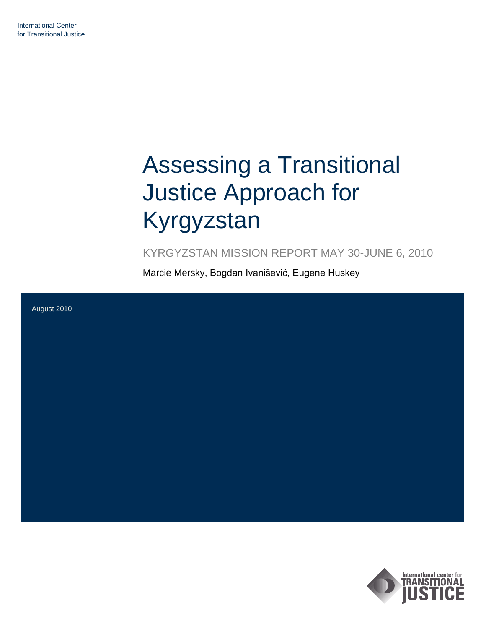# Assessing a Transitional Justice Approach for Kyrgyzstan

KYRGYZSTAN MISSION REPORT MAY 30-JUNE 6, 2010

Marcie Mersky, Bogdan Ivanišević, Eugene Huskey



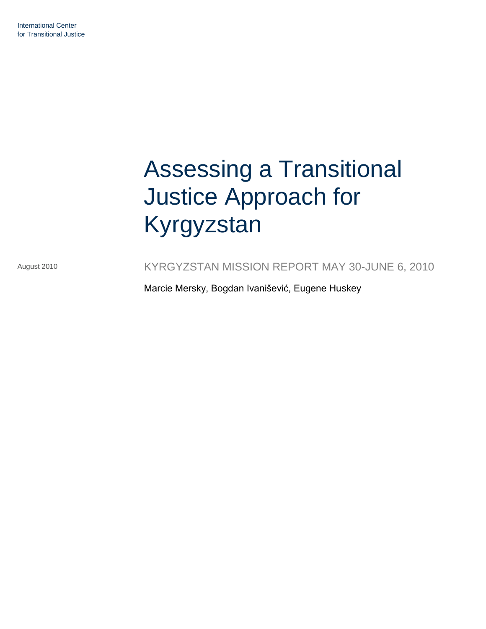# Assessing a Transitional Justice Approach for Kyrgyzstan

August 2010

KYRGYZSTAN MISSION REPORT MAY 30-JUNE 6, 2010

Marcie Mersky, Bogdan Ivanišević, Eugene Huskey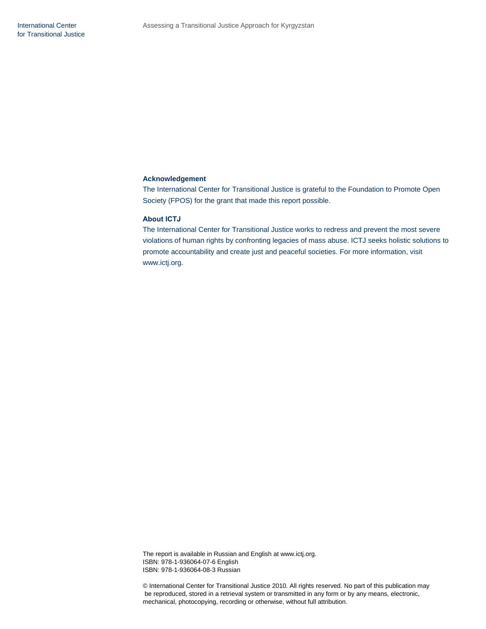# **Acknowledgement**

The International Center for Transitional Justice is grateful to the Foundation to Promote Open Society (FPOS) for the grant that made this report possible.

# **About ICTJ**

The International Center for Transitional Justice works to redress and prevent the most severe violations of human rights by confronting legacies of mass abuse. ICTJ seeks holistic solutions to promote accountability and create just and peaceful societies. For more information, visit www.ictj.org.

The report is available in Russian and English at www.ictj.org. ISBN: 978-1-936064-07-6 English ISBN: 978-1-936064-08-3 Russian

© International Center for Transitional Justice 2010. All rights reserved. No part of this publication may be reproduced, stored in a retrieval system or transmitted in any form or by any means, electronic, mechanical, photocopying, recording or otherwise, without full attribution.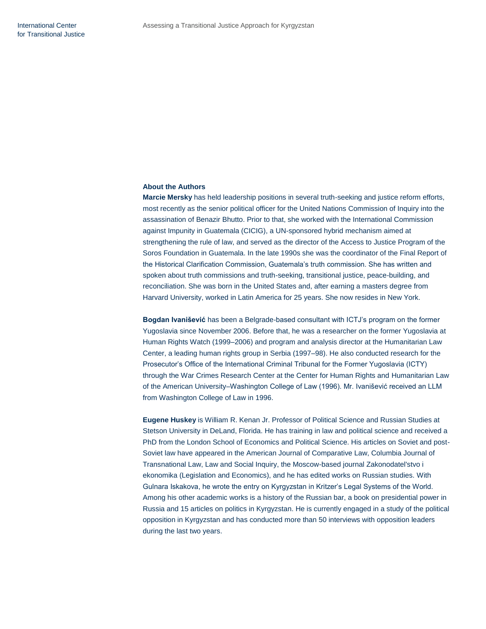# **About the Authors**

**Marcie Mersky** has held leadership positions in several truth-seeking and justice reform efforts, most recently as the senior political officer for the United Nations Commission of Inquiry into the assassination of Benazir Bhutto. Prior to that, she worked with the International Commission against Impunity in Guatemala (CICIG), a UN-sponsored hybrid mechanism aimed at strengthening the rule of law, and served as the director of the Access to Justice Program of the Soros Foundation in Guatemala. In the late 1990s she was the coordinator of the Final Report of the Historical Clarification Commission, Guatemala's truth commission. She has written and spoken about truth commissions and truth-seeking, transitional justice, peace-building, and reconciliation. She was born in the United States and, after earning a masters degree from Harvard University, worked in Latin America for 25 years. She now resides in New York.

**Bogdan Ivanišević** has been a Belgrade-based consultant with ICTJ's program on the former Yugoslavia since November 2006. Before that, he was a researcher on the former Yugoslavia at Human Rights Watch (1999–2006) and program and analysis director at the Humanitarian Law Center, a leading human rights group in Serbia (1997–98). He also conducted research for the Prosecutor's Office of the International Criminal Tribunal for the Former Yugoslavia (ICTY) through the War Crimes Research Center at the Center for Human Rights and Humanitarian Law of the American University–Washington College of Law (1996). Mr. Ivanišević received an LLM from Washington College of Law in 1996.

**Eugene Huskey** is William R. Kenan Jr. Professor of Political Science and Russian Studies at Stetson University in DeLand, Florida. He has training in law and political science and received a PhD from the London School of Economics and Political Science. His articles on Soviet and post-Soviet law have appeared in the American Journal of Comparative Law, Columbia Journal of Transnational Law, Law and Social Inquiry, the Moscow-based journal Zakonodatel'stvo i ekonomika (Legislation and Economics), and he has edited works on Russian studies. With Gulnara Iskakova, he wrote the entry on Kyrgyzstan in Kritzer's Legal Systems of the World. Among his other academic works is a history of the Russian bar, a book on presidential power in Russia and 15 articles on politics in Kyrgyzstan. He is currently engaged in a study of the political opposition in Kyrgyzstan and has conducted more than 50 interviews with opposition leaders during the last two years.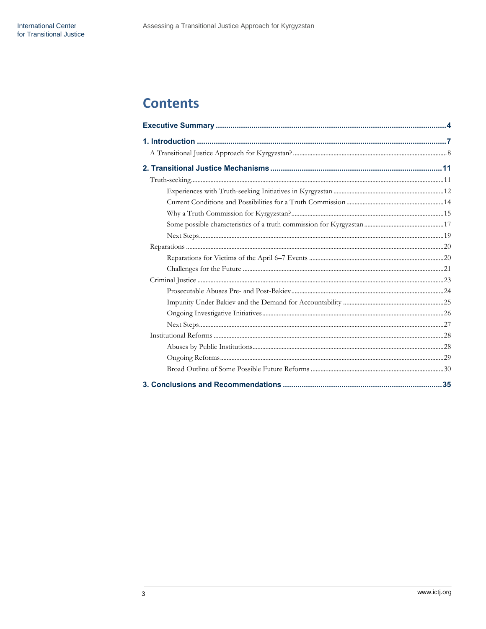# **Contents**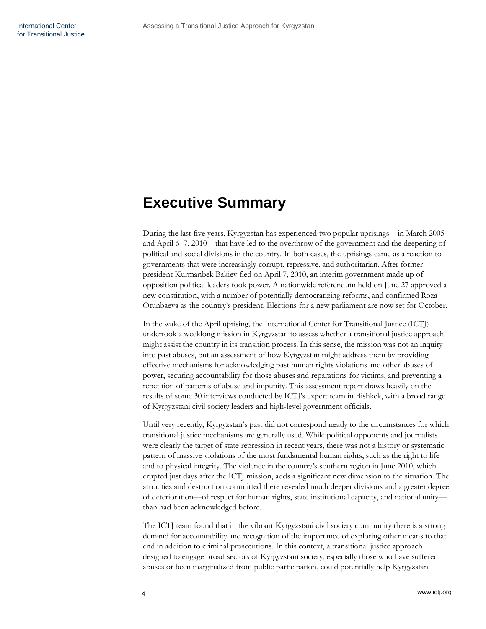# <span id="page-5-0"></span>**Executive Summary**

During the last five years, Kyrgyzstan has experienced two popular uprisings—in March 2005 and April 6–7, 2010—that have led to the overthrow of the government and the deepening of political and social divisions in the country. In both cases, the uprisings came as a reaction to governments that were increasingly corrupt, repressive, and authoritarian. After former president Kurmanbek Bakiev fled on April 7, 2010, an interim government made up of opposition political leaders took power. A nationwide referendum held on June 27 approved a new constitution, with a number of potentially democratizing reforms, and confirmed Roza Otunbaeva as the country's president. Elections for a new parliament are now set for October.

In the wake of the April uprising, the International Center for Transitional Justice (ICTJ) undertook a weeklong mission in Kyrgyzstan to assess whether a transitional justice approach might assist the country in its transition process. In this sense, the mission was not an inquiry into past abuses, but an assessment of how Kyrgyzstan might address them by providing effective mechanisms for acknowledging past human rights violations and other abuses of power, securing accountability for those abuses and reparations for victims, and preventing a repetition of patterns of abuse and impunity. This assessment report draws heavily on the results of some 30 interviews conducted by ICTJ's expert team in Bishkek, with a broad range of Kyrgyzstani civil society leaders and high-level government officials.

Until very recently, Kyrgyzstan's past did not correspond neatly to the circumstances for which transitional justice mechanisms are generally used. While political opponents and journalists were clearly the target of state repression in recent years, there was not a history or systematic pattern of massive violations of the most fundamental human rights, such as the right to life and to physical integrity. The violence in the country's southern region in June 2010, which erupted just days after the ICTJ mission, adds a significant new dimension to the situation. The atrocities and destruction committed there revealed much deeper divisions and a greater degree of deterioration—of respect for human rights, state institutional capacity, and national unity than had been acknowledged before.

The ICTJ team found that in the vibrant Kyrgyzstani civil society community there is a strong demand for accountability and recognition of the importance of exploring other means to that end in addition to criminal prosecutions. In this context, a transitional justice approach designed to engage broad sectors of Kyrgyzstani society, especially those who have suffered abuses or been marginalized from public participation, could potentially help Kyrgyzstan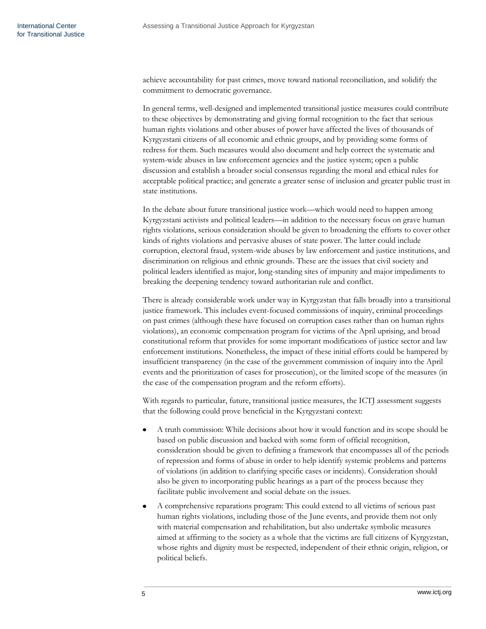achieve accountability for past crimes, move toward national reconciliation, and solidify the commitment to democratic governance.

In general terms, well-designed and implemented transitional justice measures could contribute to these objectives by demonstrating and giving formal recognition to the fact that serious human rights violations and other abuses of power have affected the lives of thousands of Kyrgyzstani citizens of all economic and ethnic groups, and by providing some forms of redress for them. Such measures would also document and help correct the systematic and system-wide abuses in law enforcement agencies and the justice system; open a public discussion and establish a broader social consensus regarding the moral and ethical rules for acceptable political practice; and generate a greater sense of inclusion and greater public trust in state institutions.

In the debate about future transitional justice work—which would need to happen among Kyrgyzstani activists and political leaders—in addition to the necessary focus on grave human rights violations, serious consideration should be given to broadening the efforts to cover other kinds of rights violations and pervasive abuses of state power. The latter could include corruption, electoral fraud, system-wide abuses by law enforcement and justice institutions, and discrimination on religious and ethnic grounds. These are the issues that civil society and political leaders identified as major, long-standing sites of impunity and major impediments to breaking the deepening tendency toward authoritarian rule and conflict.

There is already considerable work under way in Kyrgyzstan that falls broadly into a transitional justice framework. This includes event-focused commissions of inquiry, criminal proceedings on past crimes (although these have focused on corruption cases rather than on human rights violations), an economic compensation program for victims of the April uprising, and broad constitutional reform that provides for some important modifications of justice sector and law enforcement institutions. Nonetheless, the impact of these initial efforts could be hampered by insufficient transparency (in the case of the government commission of inquiry into the April events and the prioritization of cases for prosecution), or the limited scope of the measures (in the case of the compensation program and the reform efforts).

With regards to particular, future, transitional justice measures, the ICTJ assessment suggests that the following could prove beneficial in the Kyrgyzstani context:

- A truth commission: While decisions about how it would function and its scope should be based on public discussion and backed with some form of official recognition, consideration should be given to defining a framework that encompasses all of the periods of repression and forms of abuse in order to help identify systemic problems and patterns of violations (in addition to clarifying specific cases or incidents). Consideration should also be given to incorporating public hearings as a part of the process because they facilitate public involvement and social debate on the issues.
- A comprehensive reparations program: This could extend to all victims of serious past human rights violations, including those of the June events, and provide them not only with material compensation and rehabilitation, but also undertake symbolic measures aimed at affirming to the society as a whole that the victims are full citizens of Kyrgyzstan, whose rights and dignity must be respected, independent of their ethnic origin, religion, or political beliefs.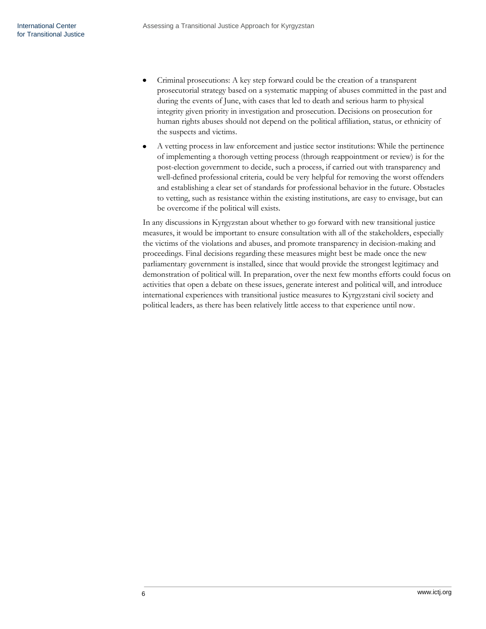- Criminal prosecutions: A key step forward could be the creation of a transparent prosecutorial strategy based on a systematic mapping of abuses committed in the past and during the events of June, with cases that led to death and serious harm to physical integrity given priority in investigation and prosecution. Decisions on prosecution for human rights abuses should not depend on the political affiliation, status, or ethnicity of the suspects and victims.
- A vetting process in law enforcement and justice sector institutions: While the pertinence of implementing a thorough vetting process (through reappointment or review) is for the post-election government to decide, such a process, if carried out with transparency and well-defined professional criteria, could be very helpful for removing the worst offenders and establishing a clear set of standards for professional behavior in the future. Obstacles to vetting, such as resistance within the existing institutions, are easy to envisage, but can be overcome if the political will exists.

In any discussions in Kyrgyzstan about whether to go forward with new transitional justice measures, it would be important to ensure consultation with all of the stakeholders, especially the victims of the violations and abuses, and promote transparency in decision-making and proceedings. Final decisions regarding these measures might best be made once the new parliamentary government is installed, since that would provide the strongest legitimacy and demonstration of political will. In preparation, over the next few months efforts could focus on activities that open a debate on these issues, generate interest and political will, and introduce international experiences with transitional justice measures to Kyrgyzstani civil society and political leaders, as there has been relatively little access to that experience until now.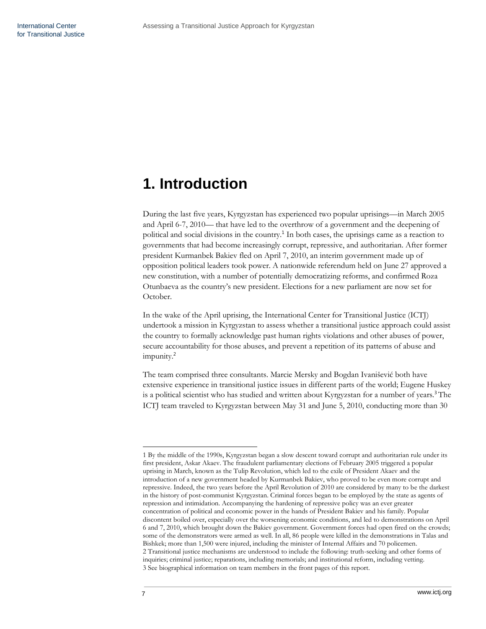# <span id="page-8-0"></span>**1. Introduction**

During the last five years, Kyrgyzstan has experienced two popular uprisings—in March 2005 and April 6-7, 2010— that have led to the overthrow of a government and the deepening of political and social divisions in the country.<sup>1</sup> In both cases, the uprisings came as a reaction to governments that had become increasingly corrupt, repressive, and authoritarian. After former president Kurmanbek Bakiev fled on April 7, 2010, an interim government made up of opposition political leaders took power. A nationwide referendum held on June 27 approved a new constitution, with a number of potentially democratizing reforms, and confirmed Roza Otunbaeva as the country's new president. Elections for a new parliament are now set for October.

In the wake of the April uprising, the International Center for Transitional Justice (ICTJ) undertook a mission in Kyrgyzstan to assess whether a transitional justice approach could assist the country to formally acknowledge past human rights violations and other abuses of power, secure accountability for those abuses, and prevent a repetition of its patterns of abuse and impunity.<sup>2</sup>

The team comprised three consultants. Marcie Mersky and Bogdan Ivanišević both have extensive experience in transitional justice issues in different parts of the world; Eugene Huskey is a political scientist who has studied and written about Kyrgyzstan for a number of years.<sup>3</sup> The ICTJ team traveled to Kyrgyzstan between May 31 and June 5, 2010, conducting more than 30

<sup>1</sup> By the middle of the 1990s, Kyrgyzstan began a slow descent toward corrupt and authoritarian rule under its first president, Askar Akaev. The fraudulent parliamentary elections of February 2005 triggered a popular uprising in March, known as the Tulip Revolution, which led to the exile of President Akaev and the introduction of a new government headed by Kurmanbek Bakiev, who proved to be even more corrupt and repressive. Indeed, the two years before the April Revolution of 2010 are considered by many to be the darkest in the history of post-communist Kyrgyzstan. Criminal forces began to be employed by the state as agents of repression and intimidation. Accompanying the hardening of repressive policy was an ever greater concentration of political and economic power in the hands of President Bakiev and his family. Popular discontent boiled over, especially over the worsening economic conditions, and led to demonstrations on April 6 and 7, 2010, which brought down the Bakiev government. Government forces had open fired on the crowds; some of the demonstrators were armed as well. In all, 86 people were killed in the demonstrations in Talas and Bishkek; more than 1,500 were injured, including the minister of Internal Affairs and 70 policemen. 2 Transitional justice mechanisms are understood to include the following: truth-seeking and other forms of inquiries; criminal justice; reparations, including memorials; and institutional reform, including vetting. 3 See biographical information on team members in the front pages of this report.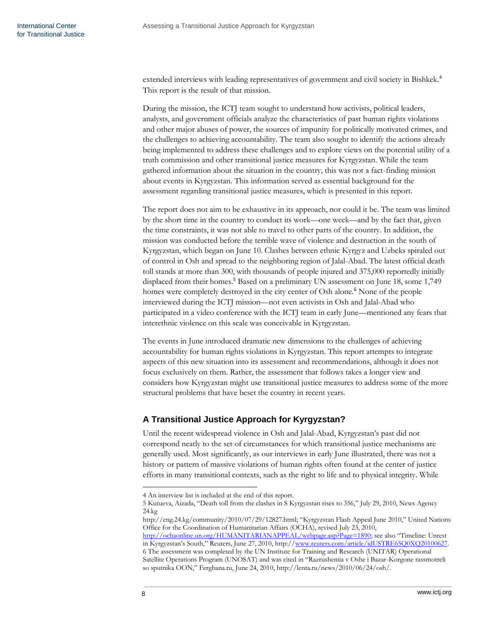extended interviews with leading representatives of government and civil society in Bishkek.<sup>4</sup> This report is the result of that mission.

During the mission, the ICTJ team sought to understand how activists, political leaders, analysts, and government officials analyze the characteristics of past human rights violations and other major abuses of power, the sources of impunity for politically motivated crimes, and the challenges to achieving accountability. The team also sought to identify the actions already being implemented to address these challenges and to explore views on the potential utility of a truth commission and other transitional justice measures for Kyrgyzstan. While the team gathered information about the situation in the country, this was not a fact-finding mission about events in Kyrgyzstan. This information served as essential background for the assessment regarding transitional justice measures, which is presented in this report.

The report does not aim to be exhaustive in its approach, nor could it be. The team was limited by the short time in the country to conduct its work—one week—and by the fact that, given the time constraints, it was not able to travel to other parts of the country. In addition, the mission was conducted before the terrible wave of violence and destruction in the south of Kyrgyzstan, which began on June 10. Clashes between ethnic Kyrgyz and Uzbeks spiraled out of control in Osh and spread to the neighboring region of Jalal-Abad. The latest official death toll stands at more than 300, with thousands of people injured and 375,000 reportedly initially displaced from their homes.<sup>5</sup> Based on a preliminary UN assessment on June 18, some 1,749 homes were completely destroyed in the city center of Osh alone.<sup>6</sup> None of the people interviewed during the ICTJ mission—not even activists in Osh and Jalal-Abad who participated in a video conference with the ICTJ team in early June—mentioned any fears that interethnic violence on this scale was conceivable in Kyrgyzstan.

The events in June introduced dramatic new dimensions to the challenges of achieving accountability for human rights violations in Kyrgyzstan. This report attempts to integrate aspects of this new situation into its assessment and recommendations, although it does not focus exclusively on them. Rather, the assessment that follows takes a longer view and considers how Kyrgyzstan might use transitional justice measures to address some of the more structural problems that have beset the country in recent years.

# <span id="page-9-0"></span>**A Transitional Justice Approach for Kyrgyzstan?**

Until the recent widespread violence in Osh and Jalal-Abad, Kyrgyzstan's past did not correspond neatly to the set of circumstances for which transitional justice mechanisms are generally used. Most significantly, as our interviews in early June illustrated, there was not a history or pattern of massive violations of human rights often found at the center of justice efforts in many transitional contexts, such as the right to life and to physical integrity. While

<http://ochaonline.un.org/HUMANITARIANAPPEAL/webpage.asp?Page=1890>; see also "Timeline: Unrest in Kyrgyzstan's South," Reuters, June 27, 2010, http://www.reuters.com/article/idUSTRE65O0XO20100627.

<sup>4</sup> An interview list is included at the end of this report.

<sup>5</sup> Kutueva, Aizada, "Death toll from the clashes in S Kyrgyzstan rises to 356," July 29, 2010, News Agency 24.kg

<http://eng.24.kg/community/2010/07/29/12827.html>; "Kyrgyzstan Flash Appeal June 2010," United Nations Office for the Coordination of Humanitarian Affairs (OCHA), revised July 23, 2010,

<sup>6</sup> The assessment was completed by the UN Institute for Training and Research (UNITAR) Operational Satellite Operations Program (UNOSAT) and was cited in "Razrusheniia v Oshe i Bazar-Korgone rassmotreli so sputnika OON," Ferghana.ru, June 24, 2010, http://lenta.ru/news/2010/06/24/osh/.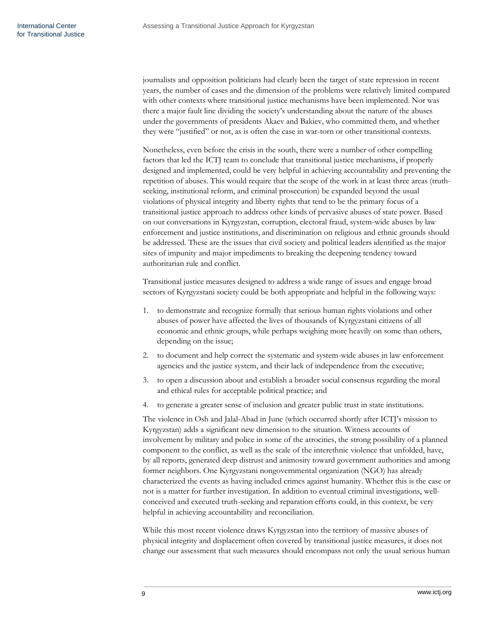journalists and opposition politicians had clearly been the target of state repression in recent years, the number of cases and the dimension of the problems were relatively limited compared with other contexts where transitional justice mechanisms have been implemented. Nor was there a major fault line dividing the society's understanding about the nature of the abuses under the governments of presidents Akaev and Bakiev, who committed them, and whether they were "justified" or not, as is often the case in war-torn or other transitional contexts.

Nonetheless, even before the crisis in the south, there were a number of other compelling factors that led the ICTJ team to conclude that transitional justice mechanisms, if properly designed and implemented, could be very helpful in achieving accountability and preventing the repetition of abuses. This would require that the scope of the work in at least three areas (truthseeking, institutional reform, and criminal prosecution) be expanded beyond the usual violations of physical integrity and liberty rights that tend to be the primary focus of a transitional justice approach to address other kinds of pervasive abuses of state power. Based on our conversations in Kyrgyzstan, corruption, electoral fraud, system-wide abuses by law enforcement and justice institutions, and discrimination on religious and ethnic grounds should be addressed. These are the issues that civil society and political leaders identified as the major sites of impunity and major impediments to breaking the deepening tendency toward authoritarian rule and conflict.

Transitional justice measures designed to address a wide range of issues and engage broad sectors of Kyrgyzstani society could be both appropriate and helpful in the following ways:

- 1. to demonstrate and recognize formally that serious human rights violations and other abuses of power have affected the lives of thousands of Kyrgyzstani citizens of all economic and ethnic groups, while perhaps weighing more heavily on some than others, depending on the issue;
- 2. to document and help correct the systematic and system-wide abuses in law enforcement agencies and the justice system, and their lack of independence from the executive;
- 3. to open a discussion about and establish a broader social consensus regarding the moral and ethical rules for acceptable political practice; and
- 4. to generate a greater sense of inclusion and greater public trust in state institutions.

The violence in Osh and Jalal-Abad in June (which occurred shortly after ICTJ's mission to Kyrgyzstan) adds a significant new dimension to the situation. Witness accounts of involvement by military and police in some of the atrocities, the strong possibility of a planned component to the conflict, as well as the scale of the interethnic violence that unfolded, have, by all reports, generated deep distrust and animosity toward government authorities and among former neighbors. One Kyrgyzstani nongovernmental organization (NGO) has already characterized the events as having included crimes against humanity. Whether this is the case or not is a matter for further investigation. In addition to eventual criminal investigations, wellconceived and executed truth-seeking and reparation efforts could, in this context, be very helpful in achieving accountability and reconciliation.

While this most recent violence draws Kyrgyzstan into the territory of massive abuses of physical integrity and displacement often covered by transitional justice measures, it does not change our assessment that such measures should encompass not only the usual serious human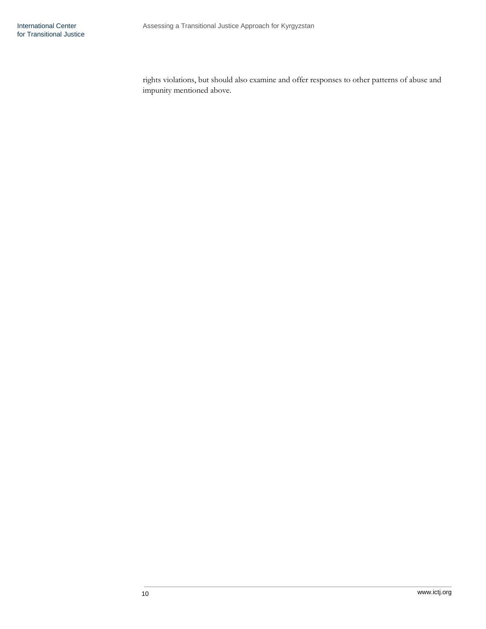rights violations, but should also examine and offer responses to other patterns of abuse and impunity mentioned above.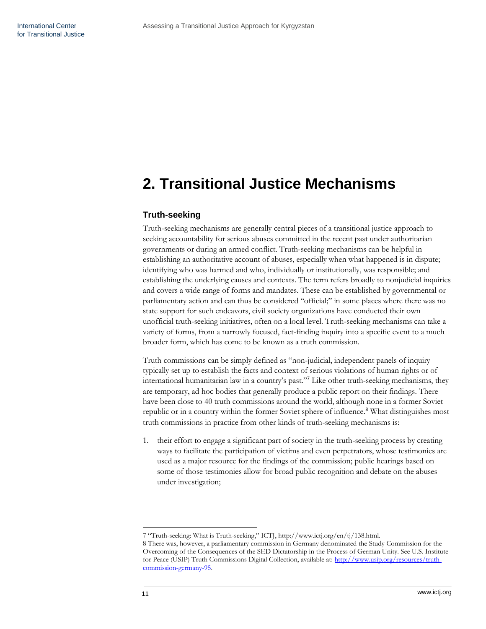# <span id="page-12-0"></span>**2. Transitional Justice Mechanisms**

# <span id="page-12-1"></span>**Truth-seeking**

Truth-seeking mechanisms are generally central pieces of a transitional justice approach to seeking accountability for serious abuses committed in the recent past under authoritarian governments or during an armed conflict. Truth-seeking mechanisms can be helpful in establishing an authoritative account of abuses, especially when what happened is in dispute; identifying who was harmed and who, individually or institutionally, was responsible; and establishing the underlying causes and contexts. The term refers broadly to nonjudicial inquiries and covers a wide range of forms and mandates. These can be established by governmental or parliamentary action and can thus be considered "official;" in some places where there was no state support for such endeavors, civil society organizations have conducted their own unofficial truth-seeking initiatives, often on a local level. Truth-seeking mechanisms can take a variety of forms, from a narrowly focused, fact-finding inquiry into a specific event to a much broader form, which has come to be known as a truth commission.

Truth commissions can be simply defined as "non-judicial, independent panels of inquiry typically set up to establish the facts and context of serious violations of human rights or of international humanitarian law in a country's past."<sup>7</sup> Like other truth-seeking mechanisms, they are temporary, ad hoc bodies that generally produce a public report on their findings. There have been close to 40 truth commissions around the world, although none in a former Soviet republic or in a country within the former Soviet sphere of influence.<sup>8</sup> What distinguishes most truth commissions in practice from other kinds of truth-seeking mechanisms is:

1. their effort to engage a significant part of society in the truth-seeking process by creating ways to facilitate the participation of victims and even perpetrators, whose testimonies are used as a major resource for the findings of the commission; public hearings based on some of those testimonies allow for broad public recognition and debate on the abuses under investigation;

<sup>7 &</sup>quot;Truth-seeking: What is Truth-seeking," ICTJ, http://www.ictj.org/en/tj/138.html.

<sup>8</sup> There was, however, a parliamentary commission in Germany denominated the Study Commission for the Overcoming of the Consequences of the SED Dictatorship in the Process of German Unity. See U.S. Institute for Peace (USIP) Truth Commissions Digital Collection, available at[: http://www.usip.org/resources/truth](http://www.usip.org/resources/truth-commission-germany-95)[commission-germany-95.](http://www.usip.org/resources/truth-commission-germany-95)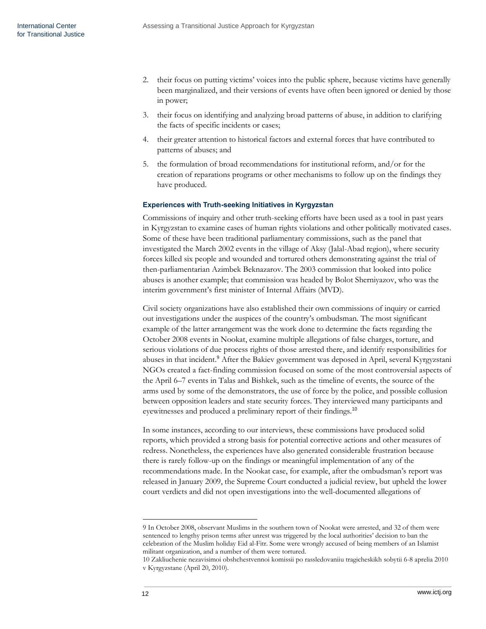- 2. their focus on putting victims' voices into the public sphere, because victims have generally been marginalized, and their versions of events have often been ignored or denied by those in power;
- 3. their focus on identifying and analyzing broad patterns of abuse, in addition to clarifying the facts of specific incidents or cases;
- 4. their greater attention to historical factors and external forces that have contributed to patterns of abuses; and
- 5. the formulation of broad recommendations for institutional reform, and/or for the creation of reparations programs or other mechanisms to follow up on the findings they have produced.

# <span id="page-13-0"></span>**Experiences with Truth-seeking Initiatives in Kyrgyzstan**

Commissions of inquiry and other truth-seeking efforts have been used as a tool in past years in Kyrgyzstan to examine cases of human rights violations and other politically motivated cases. Some of these have been traditional parliamentary commissions, such as the panel that investigated the March 2002 events in the village of Aksy (Jalal-Abad region), where security forces killed six people and wounded and tortured others demonstrating against the trial of then-parliamentarian Azimbek Beknazarov. The 2003 commission that looked into police abuses is another example; that commission was headed by Bolot Sherniyazov, who was the interim government's first minister of Internal Affairs (MVD).

Civil society organizations have also established their own commissions of inquiry or carried out investigations under the auspices of the country's ombudsman. The most significant example of the latter arrangement was the work done to determine the facts regarding the October 2008 events in Nookat, examine multiple allegations of false charges, torture, and serious violations of due process rights of those arrested there, and identify responsibilities for abuses in that incident.<sup>9</sup> After the Bakiev government was deposed in April, several Kyrgyzstani NGOs created a fact-finding commission focused on some of the most controversial aspects of the April 6–7 events in Talas and Bishkek, such as the timeline of events, the source of the arms used by some of the demonstrators, the use of force by the police, and possible collusion between opposition leaders and state security forces. They interviewed many participants and eyewitnesses and produced a preliminary report of their findings.<sup>10</sup>

In some instances, according to our interviews, these commissions have produced solid reports, which provided a strong basis for potential corrective actions and other measures of redress. Nonetheless, the experiences have also generated considerable frustration because there is rarely follow-up on the findings or meaningful implementation of any of the recommendations made. In the Nookat case, for example, after the ombudsman's report was released in January 2009, the Supreme Court conducted a judicial review, but upheld the lower court verdicts and did not open investigations into the well-documented allegations of

<sup>9</sup> In October 2008, observant Muslims in the southern town of Nookat were arrested, and 32 of them were sentenced to lengthy prison terms after unrest was triggered by the local authorities' decision to ban the celebration of the Muslim holiday Eid al-Fitr. Some were wrongly accused of being members of an Islamist militant organization, and a number of them were tortured.

<sup>10</sup> Zakliuchenie nezavisimoi obshchestvennoi komissii po rassledovaniiu tragicheskikh sobytii 6-8 aprelia 2010 v Kyrgyzstane (April 20, 2010).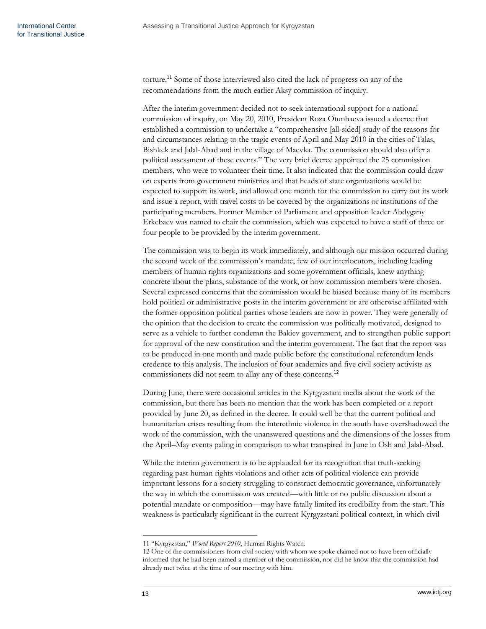torture.<sup>11</sup> Some of those interviewed also cited the lack of progress on any of the recommendations from the much earlier Aksy commission of inquiry.

After the interim government decided not to seek international support for a national commission of inquiry, on May 20, 2010, President Roza Otunbaeva issued a decree that established a commission to undertake a "comprehensive [all-sided] study of the reasons for and circumstances relating to the tragic events of April and May 2010 in the cities of Talas, Bishkek and Jalal-Abad and in the village of Maevka. The commission should also offer a political assessment of these events." The very brief decree appointed the 25 commission members, who were to volunteer their time. It also indicated that the commission could draw on experts from government ministries and that heads of state organizations would be expected to support its work, and allowed one month for the commission to carry out its work and issue a report, with travel costs to be covered by the organizations or institutions of the participating members. Former Member of Parliament and opposition leader Abdygany Erkebaev was named to chair the commission, which was expected to have a staff of three or four people to be provided by the interim government.

The commission was to begin its work immediately, and although our mission occurred during the second week of the commission's mandate, few of our interlocutors, including leading members of human rights organizations and some government officials, knew anything concrete about the plans, substance of the work, or how commission members were chosen. Several expressed concerns that the commission would be biased because many of its members hold political or administrative posts in the interim government or are otherwise affiliated with the former opposition political parties whose leaders are now in power. They were generally of the opinion that the decision to create the commission was politically motivated, designed to serve as a vehicle to further condemn the Bakiev government, and to strengthen public support for approval of the new constitution and the interim government. The fact that the report was to be produced in one month and made public before the constitutional referendum lends credence to this analysis. The inclusion of four academics and five civil society activists as commissioners did not seem to allay any of these concerns.<sup>12</sup>

During June, there were occasional articles in the Kyrgyzstani media about the work of the commission, but there has been no mention that the work has been completed or a report provided by June 20, as defined in the decree. It could well be that the current political and humanitarian crises resulting from the interethnic violence in the south have overshadowed the work of the commission, with the unanswered questions and the dimensions of the losses from the April–May events paling in comparison to what transpired in June in Osh and Jalal-Abad.

While the interim government is to be applauded for its recognition that truth-seeking regarding past human rights violations and other acts of political violence can provide important lessons for a society struggling to construct democratic governance, unfortunately the way in which the commission was created—with little or no public discussion about a potential mandate or composition—may have fatally limited its credibility from the start. This weakness is particularly significant in the current Kyrgyzstani political context, in which civil

<sup>11 &</sup>quot;Kyrgyzstan," *World Report 2010*, Human Rights Watch.

<sup>12</sup> One of the commissioners from civil society with whom we spoke claimed not to have been officially informed that he had been named a member of the commission, nor did he know that the commission had already met twice at the time of our meeting with him.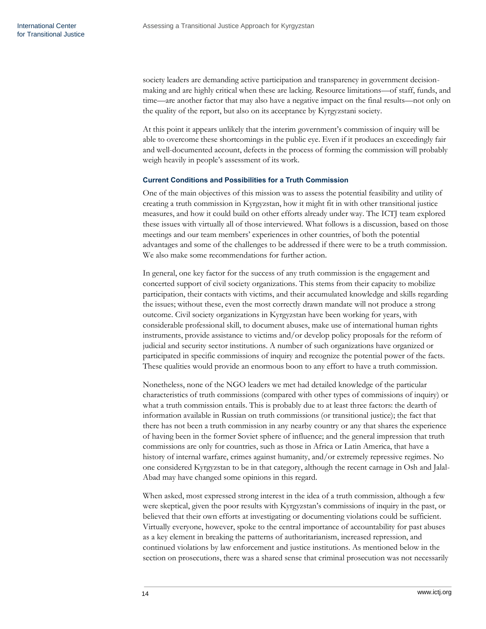society leaders are demanding active participation and transparency in government decisionmaking and are highly critical when these are lacking. Resource limitations—of staff, funds, and time—are another factor that may also have a negative impact on the final results—not only on the quality of the report, but also on its acceptance by Kyrgyzstani society.

At this point it appears unlikely that the interim government's commission of inquiry will be able to overcome these shortcomings in the public eye. Even if it produces an exceedingly fair and well-documented account, defects in the process of forming the commission will probably weigh heavily in people's assessment of its work.

#### <span id="page-15-0"></span>**Current Conditions and Possibilities for a Truth Commission**

One of the main objectives of this mission was to assess the potential feasibility and utility of creating a truth commission in Kyrgyzstan, how it might fit in with other transitional justice measures, and how it could build on other efforts already under way. The ICTJ team explored these issues with virtually all of those interviewed. What follows is a discussion, based on those meetings and our team members' experiences in other countries, of both the potential advantages and some of the challenges to be addressed if there were to be a truth commission. We also make some recommendations for further action.

In general, one key factor for the success of any truth commission is the engagement and concerted support of civil society organizations. This stems from their capacity to mobilize participation, their contacts with victims, and their accumulated knowledge and skills regarding the issues; without these, even the most correctly drawn mandate will not produce a strong outcome. Civil society organizations in Kyrgyzstan have been working for years, with considerable professional skill, to document abuses, make use of international human rights instruments, provide assistance to victims and/or develop policy proposals for the reform of judicial and security sector institutions. A number of such organizations have organized or participated in specific commissions of inquiry and recognize the potential power of the facts. These qualities would provide an enormous boon to any effort to have a truth commission.

Nonetheless, none of the NGO leaders we met had detailed knowledge of the particular characteristics of truth commissions (compared with other types of commissions of inquiry) or what a truth commission entails. This is probably due to at least three factors: the dearth of information available in Russian on truth commissions (or transitional justice); the fact that there has not been a truth commission in any nearby country or any that shares the experience of having been in the former Soviet sphere of influence; and the general impression that truth commissions are only for countries, such as those in Africa or Latin America, that have a history of internal warfare, crimes against humanity, and/or extremely repressive regimes. No one considered Kyrgyzstan to be in that category, although the recent carnage in Osh and Jalal-Abad may have changed some opinions in this regard.

When asked, most expressed strong interest in the idea of a truth commission, although a few were skeptical, given the poor results with Kyrgyzstan's commissions of inquiry in the past, or believed that their own efforts at investigating or documenting violations could be sufficient. Virtually everyone, however, spoke to the central importance of accountability for past abuses as a key element in breaking the patterns of authoritarianism, increased repression, and continued violations by law enforcement and justice institutions. As mentioned below in the section on prosecutions, there was a shared sense that criminal prosecution was not necessarily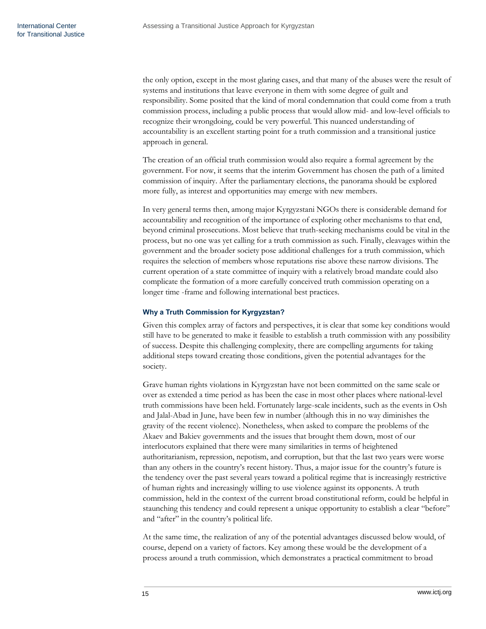the only option, except in the most glaring cases, and that many of the abuses were the result of systems and institutions that leave everyone in them with some degree of guilt and responsibility. Some posited that the kind of moral condemnation that could come from a truth commission process, including a public process that would allow mid- and low-level officials to recognize their wrongdoing, could be very powerful. This nuanced understanding of accountability is an excellent starting point for a truth commission and a transitional justice approach in general.

The creation of an official truth commission would also require a formal agreement by the government. For now, it seems that the interim Government has chosen the path of a limited commission of inquiry. After the parliamentary elections, the panorama should be explored more fully, as interest and opportunities may emerge with new members.

In very general terms then, among major Kyrgyzstani NGOs there is considerable demand for accountability and recognition of the importance of exploring other mechanisms to that end, beyond criminal prosecutions. Most believe that truth-seeking mechanisms could be vital in the process, but no one was yet calling for a truth commission as such. Finally, cleavages within the government and the broader society pose additional challenges for a truth commission, which requires the selection of members whose reputations rise above these narrow divisions. The current operation of a state committee of inquiry with a relatively broad mandate could also complicate the formation of a more carefully conceived truth commission operating on a longer time -frame and following international best practices.

## <span id="page-16-0"></span>**Why a Truth Commission for Kyrgyzstan?**

Given this complex array of factors and perspectives, it is clear that some key conditions would still have to be generated to make it feasible to establish a truth commission with any possibility of success. Despite this challenging complexity, there are compelling arguments for taking additional steps toward creating those conditions, given the potential advantages for the society.

Grave human rights violations in Kyrgyzstan have not been committed on the same scale or over as extended a time period as has been the case in most other places where national-level truth commissions have been held. Fortunately large-scale incidents, such as the events in Osh and Jalal-Abad in June, have been few in number (although this in no way diminishes the gravity of the recent violence). Nonetheless, when asked to compare the problems of the Akaev and Bakiev governments and the issues that brought them down, most of our interlocutors explained that there were many similarities in terms of heightened authoritarianism, repression, nepotism, and corruption, but that the last two years were worse than any others in the country's recent history. Thus, a major issue for the country's future is the tendency over the past several years toward a political regime that is increasingly restrictive of human rights and increasingly willing to use violence against its opponents. A truth commission, held in the context of the current broad constitutional reform, could be helpful in staunching this tendency and could represent a unique opportunity to establish a clear "before" and "after" in the country's political life.

At the same time, the realization of any of the potential advantages discussed below would, of course, depend on a variety of factors. Key among these would be the development of a process around a truth commission, which demonstrates a practical commitment to broad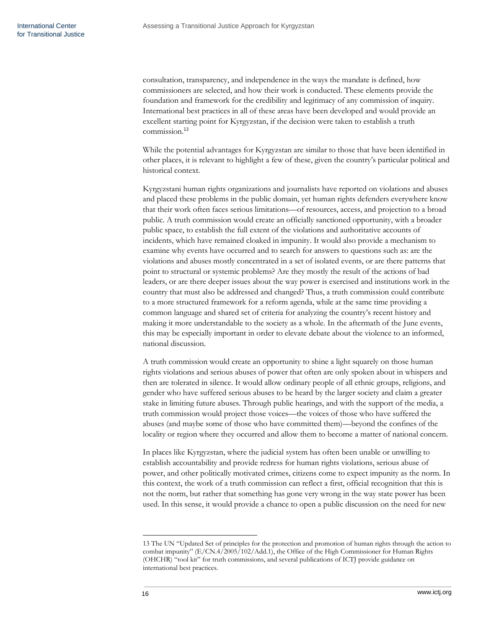consultation, transparency, and independence in the ways the mandate is defined, how commissioners are selected, and how their work is conducted. These elements provide the foundation and framework for the credibility and legitimacy of any commission of inquiry. International best practices in all of these areas have been developed and would provide an excellent starting point for Kyrgyzstan, if the decision were taken to establish a truth commission.<sup>13</sup>

While the potential advantages for Kyrgyzstan are similar to those that have been identified in other places, it is relevant to highlight a few of these, given the country's particular political and historical context.

Kyrgyzstani human rights organizations and journalists have reported on violations and abuses and placed these problems in the public domain, yet human rights defenders everywhere know that their work often faces serious limitations—of resources, access, and projection to a broad public. A truth commission would create an officially sanctioned opportunity, with a broader public space, to establish the full extent of the violations and authoritative accounts of incidents, which have remained cloaked in impunity. It would also provide a mechanism to examine why events have occurred and to search for answers to questions such as: are the violations and abuses mostly concentrated in a set of isolated events, or are there patterns that point to structural or systemic problems? Are they mostly the result of the actions of bad leaders, or are there deeper issues about the way power is exercised and institutions work in the country that must also be addressed and changed? Thus, a truth commission could contribute to a more structured framework for a reform agenda, while at the same time providing a common language and shared set of criteria for analyzing the country's recent history and making it more understandable to the society as a whole. In the aftermath of the June events, this may be especially important in order to elevate debate about the violence to an informed, national discussion.

A truth commission would create an opportunity to shine a light squarely on those human rights violations and serious abuses of power that often are only spoken about in whispers and then are tolerated in silence. It would allow ordinary people of all ethnic groups, religions, and gender who have suffered serious abuses to be heard by the larger society and claim a greater stake in limiting future abuses. Through public hearings, and with the support of the media, a truth commission would project those voices—the voices of those who have suffered the abuses (and maybe some of those who have committed them)—beyond the confines of the locality or region where they occurred and allow them to become a matter of national concern.

In places like Kyrgyzstan, where the judicial system has often been unable or unwilling to establish accountability and provide redress for human rights violations, serious abuse of power, and other politically motivated crimes, citizens come to expect impunity as the norm. In this context, the work of a truth commission can reflect a first, official recognition that this is not the norm, but rather that something has gone very wrong in the way state power has been used. In this sense, it would provide a chance to open a public discussion on the need for new

<sup>13</sup> The UN "Updated Set of principles for the protection and promotion of human rights through the action to combat impunity"  $(E/CN.4/2005/102/Add.1)$ , the Office of the High Commissioner for Human Rights (OHCHR) "tool kit" for truth commissions, and several publications of ICTJ provide guidance on international best practices.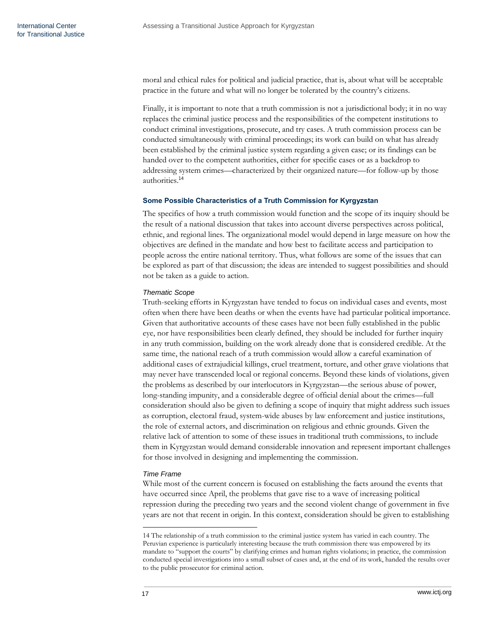moral and ethical rules for political and judicial practice, that is, about what will be acceptable practice in the future and what will no longer be tolerated by the country's citizens.

Finally, it is important to note that a truth commission is not a jurisdictional body; it in no way replaces the criminal justice process and the responsibilities of the competent institutions to conduct criminal investigations, prosecute, and try cases. A truth commission process can be conducted simultaneously with criminal proceedings; its work can build on what has already been established by the criminal justice system regarding a given case; or its findings can be handed over to the competent authorities, either for specific cases or as a backdrop to addressing system crimes—characterized by their organized nature—for follow-up by those authorities.<sup>14</sup>

### <span id="page-18-0"></span>**Some Possible Characteristics of a Truth Commission for Kyrgyzstan**

The specifics of how a truth commission would function and the scope of its inquiry should be the result of a national discussion that takes into account diverse perspectives across political, ethnic, and regional lines. The organizational model would depend in large measure on how the objectives are defined in the mandate and how best to facilitate access and participation to people across the entire national territory. Thus, what follows are some of the issues that can be explored as part of that discussion; the ideas are intended to suggest possibilities and should not be taken as a guide to action.

# *Thematic Scope*

Truth-seeking efforts in Kyrgyzstan have tended to focus on individual cases and events, most often when there have been deaths or when the events have had particular political importance. Given that authoritative accounts of these cases have not been fully established in the public eye, nor have responsibilities been clearly defined, they should be included for further inquiry in any truth commission, building on the work already done that is considered credible. At the same time, the national reach of a truth commission would allow a careful examination of additional cases of extrajudicial killings, cruel treatment, torture, and other grave violations that may never have transcended local or regional concerns. Beyond these kinds of violations, given the problems as described by our interlocutors in Kyrgyzstan—the serious abuse of power, long-standing impunity, and a considerable degree of official denial about the crimes—full consideration should also be given to defining a scope of inquiry that might address such issues as corruption, electoral fraud, system-wide abuses by law enforcement and justice institutions, the role of external actors, and discrimination on religious and ethnic grounds. Given the relative lack of attention to some of these issues in traditional truth commissions, to include them in Kyrgyzstan would demand considerable innovation and represent important challenges for those involved in designing and implementing the commission.

## *Time Frame*

While most of the current concern is focused on establishing the facts around the events that have occurred since April, the problems that gave rise to a wave of increasing political repression during the preceding two years and the second violent change of government in five years are not that recent in origin. In this context, consideration should be given to establishing

<sup>14</sup> The relationship of a truth commission to the criminal justice system has varied in each country. The Peruvian experience is particularly interesting because the truth commission there was empowered by its mandate to "support the courts" by clarifying crimes and human rights violations; in practice, the commission conducted special investigations into a small subset of cases and, at the end of its work, handed the results over to the public prosecutor for criminal action.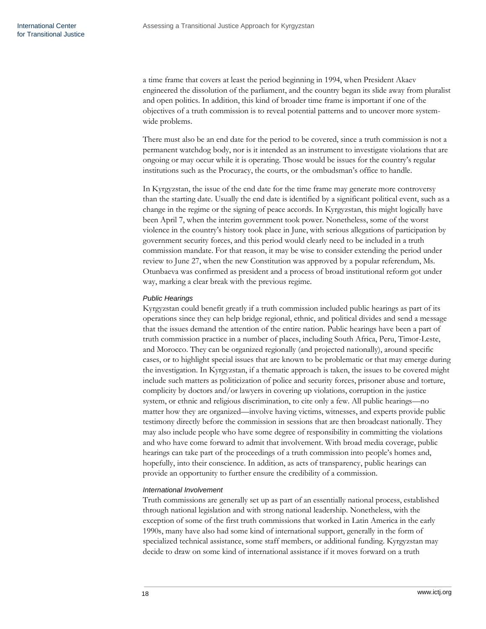a time frame that covers at least the period beginning in 1994, when President Akaev engineered the dissolution of the parliament, and the country began its slide away from pluralist and open politics. In addition, this kind of broader time frame is important if one of the objectives of a truth commission is to reveal potential patterns and to uncover more systemwide problems.

There must also be an end date for the period to be covered, since a truth commission is not a permanent watchdog body, nor is it intended as an instrument to investigate violations that are ongoing or may occur while it is operating. Those would be issues for the country's regular institutions such as the Procuracy, the courts, or the ombudsman's office to handle.

In Kyrgyzstan, the issue of the end date for the time frame may generate more controversy than the starting date. Usually the end date is identified by a significant political event, such as a change in the regime or the signing of peace accords. In Kyrgyzstan, this might logically have been April 7, when the interim government took power. Nonetheless, some of the worst violence in the country's history took place in June, with serious allegations of participation by government security forces, and this period would clearly need to be included in a truth commission mandate. For that reason, it may be wise to consider extending the period under review to June 27, when the new Constitution was approved by a popular referendum, Ms. Otunbaeva was confirmed as president and a process of broad institutional reform got under way, marking a clear break with the previous regime.

## *Public Hearings*

Kyrgyzstan could benefit greatly if a truth commission included public hearings as part of its operations since they can help bridge regional, ethnic, and political divides and send a message that the issues demand the attention of the entire nation. Public hearings have been a part of truth commission practice in a number of places, including South Africa, Peru, Timor-Leste, and Morocco. They can be organized regionally (and projected nationally), around specific cases, or to highlight special issues that are known to be problematic or that may emerge during the investigation. In Kyrgyzstan, if a thematic approach is taken, the issues to be covered might include such matters as politicization of police and security forces, prisoner abuse and torture, complicity by doctors and/or lawyers in covering up violations, corruption in the justice system, or ethnic and religious discrimination, to cite only a few. All public hearings—no matter how they are organized—involve having victims, witnesses, and experts provide public testimony directly before the commission in sessions that are then broadcast nationally. They may also include people who have some degree of responsibility in committing the violations and who have come forward to admit that involvement. With broad media coverage, public hearings can take part of the proceedings of a truth commission into people's homes and, hopefully, into their conscience. In addition, as acts of transparency, public hearings can provide an opportunity to further ensure the credibility of a commission.

#### *International Involvement*

Truth commissions are generally set up as part of an essentially national process, established through national legislation and with strong national leadership. Nonetheless, with the exception of some of the first truth commissions that worked in Latin America in the early 1990s, many have also had some kind of international support, generally in the form of specialized technical assistance, some staff members, or additional funding. Kyrgyzstan may decide to draw on some kind of international assistance if it moves forward on a truth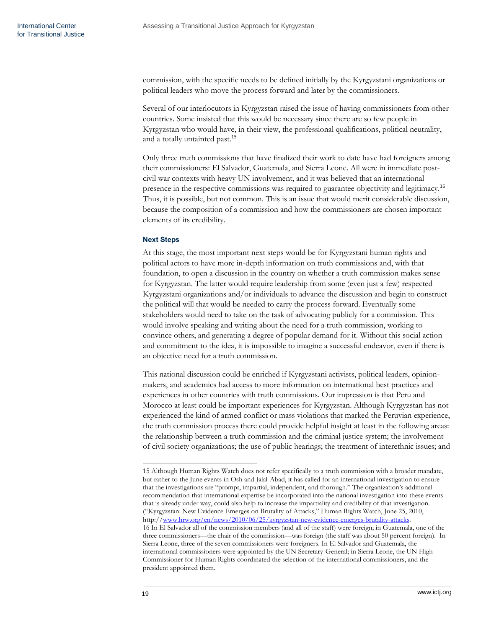commission, with the specific needs to be defined initially by the Kyrgyzstani organizations or political leaders who move the process forward and later by the commissioners.

Several of our interlocutors in Kyrgyzstan raised the issue of having commissioners from other countries. Some insisted that this would be necessary since there are so few people in Kyrgyzstan who would have, in their view, the professional qualifications, political neutrality, and a totally untainted past.<sup>15</sup>

Only three truth commissions that have finalized their work to date have had foreigners among their commissioners: El Salvador, Guatemala, and Sierra Leone. All were in immediate postcivil war contexts with heavy UN involvement, and it was believed that an international presence in the respective commissions was required to guarantee objectivity and legitimacy.<sup>16</sup> Thus, it is possible, but not common. This is an issue that would merit considerable discussion, because the composition of a commission and how the commissioners are chosen important elements of its credibility.

# <span id="page-20-0"></span>**Next Steps**

At this stage, the most important next steps would be for Kyrgyzstani human rights and political actors to have more in-depth information on truth commissions and, with that foundation, to open a discussion in the country on whether a truth commission makes sense for Kyrgyzstan. The latter would require leadership from some (even just a few) respected Kyrgyzstani organizations and/or individuals to advance the discussion and begin to construct the political will that would be needed to carry the process forward. Eventually some stakeholders would need to take on the task of advocating publicly for a commission. This would involve speaking and writing about the need for a truth commission, working to convince others, and generating a degree of popular demand for it. Without this social action and commitment to the idea, it is impossible to imagine a successful endeavor, even if there is an objective need for a truth commission.

This national discussion could be enriched if Kyrgyzstani activists, political leaders, opinionmakers, and academics had access to more information on international best practices and experiences in other countries with truth commissions. Our impression is that Peru and Morocco at least could be important experiences for Kyrgyzstan. Although Kyrgyzstan has not experienced the kind of armed conflict or mass violations that marked the Peruvian experience, the truth commission process there could provide helpful insight at least in the following areas: the relationship between a truth commission and the criminal justice system; the involvement of civil society organizations; the use of public hearings; the treatment of interethnic issues; and

<sup>15</sup> Although Human Rights Watch does not refer specifically to a truth commission with a broader mandate, but rather to the June events in Osh and Jalal-Abad, it has called for an international investigation to ensure that the investigations are "prompt, impartial, independent, and thorough." The organization's additional recommendation that international expertise be incorporated into the national investigation into these events that is already under way, could also help to increase the impartiality and credibility of that investigation. (―[Kyrgyzstan: New Evidence Emerges on Brutality of Attacks](http://www.hrw.org/en/news/2010/06/25/kyrgyzstan-new-evidence-emerges-brutality-attacks),‖ Human Rights Watch, June 25, 2010, http:/[/www.hrw.org/en/news/2010/06/25/kyrgyzstan-new-evidence-emerges-brutality-attacks.](http://www.hrw.org/en/news/2010/06/25/kyrgyzstan-new-evidence-emerges-brutality-attacks)  16 In El Salvador all of the commission members (and all of the staff) were foreign; in Guatemala, one of the three commissioners—the chair of the commission—was foreign (the staff was about 50 percent foreign). In Sierra Leone, three of the seven commissioners were foreigners. In El Salvador and Guatemala, the international commissioners were appointed by the UN Secretary-General; in Sierra Leone, the UN High Commissioner for Human Rights coordinated the selection of the international commissioners, and the president appointed them.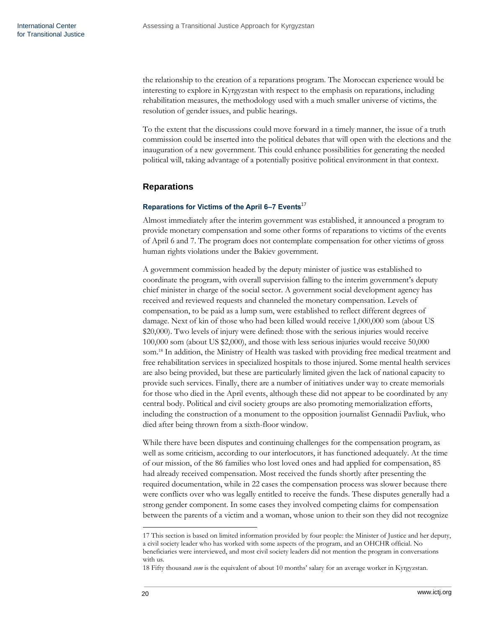the relationship to the creation of a reparations program. The Moroccan experience would be interesting to explore in Kyrgyzstan with respect to the emphasis on reparations, including rehabilitation measures, the methodology used with a much smaller universe of victims, the resolution of gender issues, and public hearings.

To the extent that the discussions could move forward in a timely manner, the issue of a truth commission could be inserted into the political debates that will open with the elections and the inauguration of a new government. This could enhance possibilities for generating the needed political will, taking advantage of a potentially positive political environment in that context.

# <span id="page-21-0"></span>**Reparations**

# <span id="page-21-1"></span>**Reparations for Victims of the April 6–7 Events**<sup>17</sup>

Almost immediately after the interim government was established, it announced a program to provide monetary compensation and some other forms of reparations to victims of the events of April 6 and 7. The program does not contemplate compensation for other victims of gross human rights violations under the Bakiev government.

A government commission headed by the deputy minister of justice was established to coordinate the program, with overall supervision falling to the interim government's deputy chief minister in charge of the social sector. A government social development agency has received and reviewed requests and channeled the monetary compensation. Levels of compensation, to be paid as a lump sum, were established to reflect different degrees of damage. Next of kin of those who had been killed would receive 1,000,000 som (about US \$20,000). Two levels of injury were defined: those with the serious injuries would receive 100,000 som (about US \$2,000), and those with less serious injuries would receive 50,000 som.<sup>18</sup> In addition, the Ministry of Health was tasked with providing free medical treatment and free rehabilitation services in specialized hospitals to those injured. Some mental health services are also being provided, but these are particularly limited given the lack of national capacity to provide such services. Finally, there are a number of initiatives under way to create memorials for those who died in the April events, although these did not appear to be coordinated by any central body. Political and civil society groups are also promoting memorialization efforts, including the construction of a monument to the opposition journalist Gennadii Pavliuk, who died after being thrown from a sixth-floor window.

While there have been disputes and continuing challenges for the compensation program, as well as some criticism, according to our interlocutors, it has functioned adequately. At the time of our mission, of the 86 families who lost loved ones and had applied for compensation, 85 had already received compensation. Most received the funds shortly after presenting the required documentation, while in 22 cases the compensation process was slower because there were conflicts over who was legally entitled to receive the funds. These disputes generally had a strong gender component. In some cases they involved competing claims for compensation between the parents of a victim and a woman, whose union to their son they did not recognize

<sup>17</sup> This section is based on limited information provided by four people: the Minister of Justice and her deputy, a civil society leader who has worked with some aspects of the program, and an OHCHR official. No beneficiaries were interviewed, and most civil society leaders did not mention the program in conversations with us.

<sup>18</sup> Fifty thousand *som* is the equivalent of about 10 months' salary for an average worker in Kyrgyzstan.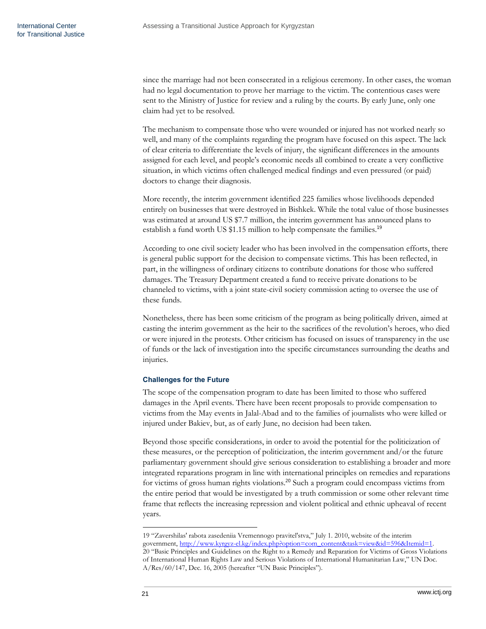since the marriage had not been consecrated in a religious ceremony. In other cases, the woman had no legal documentation to prove her marriage to the victim. The contentious cases were sent to the Ministry of Justice for review and a ruling by the courts. By early June, only one claim had yet to be resolved.

The mechanism to compensate those who were wounded or injured has not worked nearly so well, and many of the complaints regarding the program have focused on this aspect. The lack of clear criteria to differentiate the levels of injury, the significant differences in the amounts assigned for each level, and people's economic needs all combined to create a very conflictive situation, in which victims often challenged medical findings and even pressured (or paid) doctors to change their diagnosis.

More recently, the interim government identified 225 families whose livelihoods depended entirely on businesses that were destroyed in Bishkek. While the total value of those businesses was estimated at around US \$7.7 million, the interim government has announced plans to establish a fund worth US \$1.15 million to help compensate the families.<sup>19</sup>

According to one civil society leader who has been involved in the compensation efforts, there is general public support for the decision to compensate victims. This has been reflected, in part, in the willingness of ordinary citizens to contribute donations for those who suffered damages. The Treasury Department created a fund to receive private donations to be channeled to victims, with a joint state-civil society commission acting to oversee the use of these funds.

Nonetheless, there has been some criticism of the program as being politically driven, aimed at casting the interim government as the heir to the sacrifices of the revolution's heroes, who died or were injured in the protests. Other criticism has focused on issues of transparency in the use of funds or the lack of investigation into the specific circumstances surrounding the deaths and injuries.

# <span id="page-22-0"></span>**Challenges for the Future**

The scope of the compensation program to date has been limited to those who suffered damages in the April events. There have been recent proposals to provide compensation to victims from the May events in Jalal-Abad and to the families of journalists who were killed or injured under Bakiev, but, as of early June, no decision had been taken.

Beyond those specific considerations, in order to avoid the potential for the politicization of these measures, or the perception of politicization, the interim government and/or the future parliamentary government should give serious consideration to establishing a broader and more integrated reparations program in line with international principles on remedies and reparations for victims of gross human rights violations.<sup>20</sup> Such a program could encompass victims from the entire period that would be investigated by a truth commission or some other relevant time frame that reflects the increasing repression and violent political and ethnic upheaval of recent years.

<sup>19 &</sup>quot;Zavershilas' rabota zasedeniia Vremennogo pravitel'stva," July 1. 2010, website of the interim government, [http://www.kyrgyz-el.kg/index.php?option=com\\_content&task=view&id=596&Itemid=1.](http://www.kyrgyz-el.kg/index.php?option=com_content&task=view&id=596&Itemid=1) 20 "Basic Principles and Guidelines on the Right to a Remedy and Reparation for Victims of Gross Violations of International Human Rights Law and Serious Violations of International Humanitarian Law,‖ UN Doc. A/Res/60/147, Dec. 16, 2005 (hereafter "UN Basic Principles").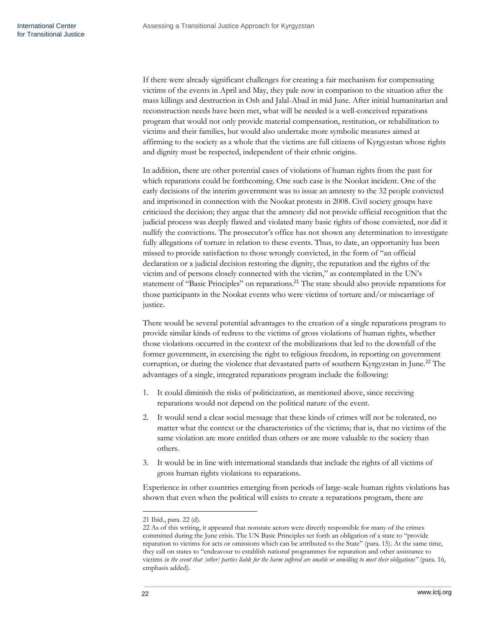If there were already significant challenges for creating a fair mechanism for compensating victims of the events in April and May, they pale now in comparison to the situation after the mass killings and destruction in Osh and Jalal-Abad in mid June. After initial humanitarian and reconstruction needs have been met, what will be needed is a well-conceived reparations program that would not only provide material compensation, restitution, or rehabilitation to victims and their families, but would also undertake more symbolic measures aimed at affirming to the society as a whole that the victims are full citizens of Kyrgyzstan whose rights and dignity must be respected, independent of their ethnic origins.

In addition, there are other potential cases of violations of human rights from the past for which reparations could be forthcoming. One such case is the Nookat incident. One of the early decisions of the interim government was to issue an amnesty to the 32 people convicted and imprisoned in connection with the Nookat protests in 2008. Civil society groups have criticized the decision; they argue that the amnesty did not provide official recognition that the judicial process was deeply flawed and violated many basic rights of those convicted, nor did it nullify the convictions. The prosecutor's office has not shown any determination to investigate fully allegations of torture in relation to these events. Thus, to date, an opportunity has been missed to provide satisfaction to those wrongly convicted, in the form of "an official declaration or a judicial decision restoring the dignity, the reputation and the rights of the victim and of persons closely connected with the victim," as contemplated in the UN's statement of "Basic Principles" on reparations.<sup>21</sup> The state should also provide reparations for those participants in the Nookat events who were victims of torture and/or miscarriage of justice.

There would be several potential advantages to the creation of a single reparations program to provide similar kinds of redress to the victims of gross violations of human rights, whether those violations occurred in the context of the mobilizations that led to the downfall of the former government, in exercising the right to religious freedom, in reporting on government corruption, or during the violence that devastated parts of southern Kyrgyzstan in June.<sup>22</sup> The advantages of a single, integrated reparations program include the following:

- 1. It could diminish the risks of politicization, as mentioned above, since receiving reparations would not depend on the political nature of the event.
- 2. It would send a clear social message that these kinds of crimes will not be tolerated, no matter what the context or the characteristics of the victims; that is, that no victims of the same violation are more entitled than others or are more valuable to the society than others.
- 3. It would be in line with international standards that include the rights of all victims of gross human rights violations to reparations.

Experience in other countries emerging from periods of large-scale human rights violations has shown that even when the political will exists to create a reparations program, there are

<sup>21</sup> Ibid., para. 22 (d).

<sup>22</sup> As of this writing, it appeared that nonstate actors were directly responsible for many of the crimes committed during the June crisis. The UN Basic Principles set forth an obligation of a state to "provide reparation to victims for acts or omissions which can be attributed to the State" (para. 15). At the same time, they call on states to "endeavour to establish national programmes for reparation and other assistance to victims *in the event that [other] parties liable for the harm suffered are unable or unwilling to meet their obligations"* (para. 16, emphasis added).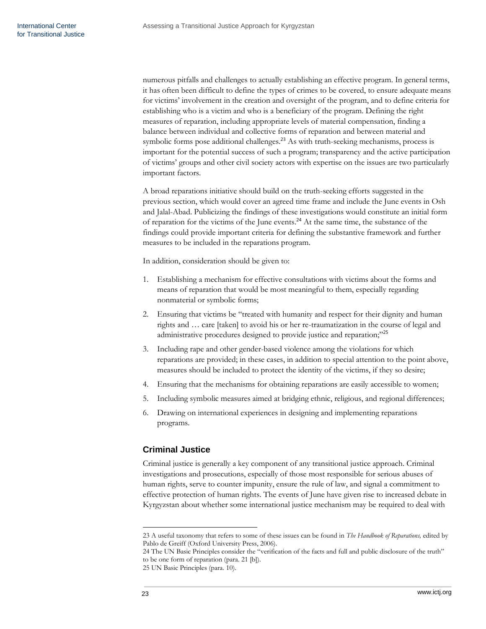numerous pitfalls and challenges to actually establishing an effective program. In general terms, it has often been difficult to define the types of crimes to be covered, to ensure adequate means for victims' involvement in the creation and oversight of the program, and to define criteria for establishing who is a victim and who is a beneficiary of the program. Defining the right measures of reparation, including appropriate levels of material compensation, finding a balance between individual and collective forms of reparation and between material and symbolic forms pose additional challenges.<sup>23</sup> As with truth-seeking mechanisms, process is important for the potential success of such a program; transparency and the active participation of victims' groups and other civil society actors with expertise on the issues are two particularly important factors.

A broad reparations initiative should build on the truth-seeking efforts suggested in the previous section, which would cover an agreed time frame and include the June events in Osh and Jalal-Abad. Publicizing the findings of these investigations would constitute an initial form of reparation for the victims of the June events.<sup>24</sup> At the same time, the substance of the findings could provide important criteria for defining the substantive framework and further measures to be included in the reparations program.

In addition, consideration should be given to:

- 1. Establishing a mechanism for effective consultations with victims about the forms and means of reparation that would be most meaningful to them, especially regarding nonmaterial or symbolic forms;
- 2. Ensuring that victims be "treated with humanity and respect for their dignity and human rights and … care [taken] to avoid his or her re-traumatization in the course of legal and administrative procedures designed to provide justice and reparation;"<sup>25</sup>
- 3. Including rape and other gender-based violence among the violations for which reparations are provided; in these cases, in addition to special attention to the point above, measures should be included to protect the identity of the victims, if they so desire;
- 4. Ensuring that the mechanisms for obtaining reparations are easily accessible to women;
- 5. Including symbolic measures aimed at bridging ethnic, religious, and regional differences;
- 6. Drawing on international experiences in designing and implementing reparations programs.

# <span id="page-24-0"></span>**Criminal Justice**

Criminal justice is generally a key component of any transitional justice approach. Criminal investigations and prosecutions, especially of those most responsible for serious abuses of human rights, serve to counter impunity, ensure the rule of law, and signal a commitment to effective protection of human rights. The events of June have given rise to increased debate in Kyrgyzstan about whether some international justice mechanism may be required to deal with

<sup>23</sup> A useful taxonomy that refers to some of these issues can be found in *The Handbook of Reparations,* edited by Pablo de Greiff (Oxford University Press, 2006).

<sup>24</sup> The UN Basic Principles consider the "verification of the facts and full and public disclosure of the truth" to be one form of reparation (para. 21 [b]).

<sup>25</sup> UN Basic Principles (para. 10).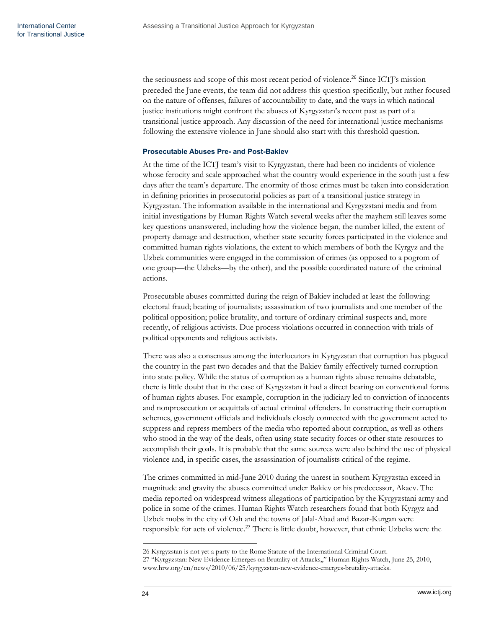the seriousness and scope of this most recent period of violence.<sup>26</sup> Since ICTJ's mission preceded the June events, the team did not address this question specifically, but rather focused on the nature of offenses, failures of accountability to date, and the ways in which national justice institutions might confront the abuses of Kyrgyzstan's recent past as part of a transitional justice approach. Any discussion of the need for international justice mechanisms following the extensive violence in June should also start with this threshold question.

### <span id="page-25-0"></span>**Prosecutable Abuses Pre- and Post-Bakiev**

At the time of the ICTJ team's visit to Kyrgyzstan, there had been no incidents of violence whose ferocity and scale approached what the country would experience in the south just a few days after the team's departure. The enormity of those crimes must be taken into consideration in defining priorities in prosecutorial policies as part of a transitional justice strategy in Kyrgyzstan. The information available in the international and Kyrgyzstani media and from initial investigations by Human Rights Watch several weeks after the mayhem still leaves some key questions unanswered, including how the violence began, the number killed, the extent of property damage and destruction, whether state security forces participated in the violence and committed human rights violations, the extent to which members of both the Kyrgyz and the Uzbek communities were engaged in the commission of crimes (as opposed to a pogrom of one group—the Uzbeks—by the other), and the possible coordinated nature of the criminal actions.

Prosecutable abuses committed during the reign of Bakiev included at least the following: electoral fraud; beating of journalists; assassination of two journalists and one member of the political opposition; police brutality, and torture of ordinary criminal suspects and, more recently, of religious activists. Due process violations occurred in connection with trials of political opponents and religious activists.

There was also a consensus among the interlocutors in Kyrgyzstan that corruption has plagued the country in the past two decades and that the Bakiev family effectively turned corruption into state policy. While the status of corruption as a human rights abuse remains debatable, there is little doubt that in the case of Kyrgyzstan it had a direct bearing on conventional forms of human rights abuses. For example, corruption in the judiciary led to conviction of innocents and nonprosecution or acquittals of actual criminal offenders. In constructing their corruption schemes, government officials and individuals closely connected with the government acted to suppress and repress members of the media who reported about corruption, as well as others who stood in the way of the deals, often using state security forces or other state resources to accomplish their goals. It is probable that the same sources were also behind the use of physical violence and, in specific cases, the assassination of journalists critical of the regime.

The crimes committed in mid-June 2010 during the unrest in southern Kyrgyzstan exceed in magnitude and gravity the abuses committed under Bakiev or his predecessor, Akaev. The media reported on widespread witness allegations of participation by the Kyrgyzstani army and police in some of the crimes. Human Rights Watch researchers found that both Kyrgyz and Uzbek mobs in the city of Osh and the towns of Jalal-Abad and Bazar-Kurgan were responsible for acts of violence.<sup>27</sup> There is little doubt, however, that ethnic Uzbeks were the

<sup>26</sup> Kyrgyzstan is not yet a party to the Rome Statute of the International Criminal Court.

<sup>27 &</sup>quot;Kyrgyzstan: New Evidence Emerges on Brutality of Attacks,," Human Rights Watch, June 25, 2010, [www.hrw.org/en/news/2010/06/25/kyrgyzstan-new-evidence-emerges-brutality-attacks.](http://www.hrw.org/en/news/2010/06/25/kyrgyzstan-new-evidence-emerges-brutality-attacks)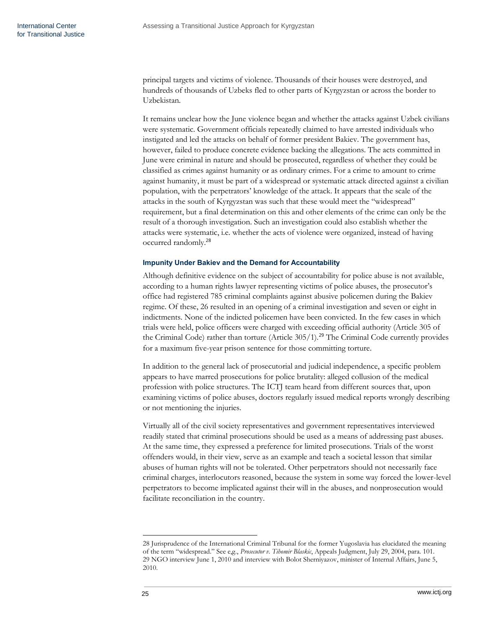principal targets and victims of violence. Thousands of their houses were destroyed, and hundreds of thousands of Uzbeks fled to other parts of Kyrgyzstan or across the border to Uzbekistan.

It remains unclear how the June violence began and whether the attacks against Uzbek civilians were systematic. Government officials repeatedly claimed to have arrested individuals who instigated and led the attacks on behalf of former president Bakiev. The government has, however, failed to produce concrete evidence backing the allegations. The acts committed in June were criminal in nature and should be prosecuted, regardless of whether they could be classified as crimes against humanity or as ordinary crimes. For a crime to amount to crime against humanity, it must be part of a widespread or systematic attack directed against a civilian population, with the perpetrators' knowledge of the attack. It appears that the scale of the attacks in the south of Kyrgyzstan was such that these would meet the "widespread" requirement, but a final determination on this and other elements of the crime can only be the result of a thorough investigation. Such an investigation could also establish whether the attacks were systematic, i.e. whether the acts of violence were organized, instead of having occurred randomly.<sup>28</sup>

# <span id="page-26-0"></span>**Impunity Under Bakiev and the Demand for Accountability**

Although definitive evidence on the subject of accountability for police abuse is not available, according to a human rights lawyer representing victims of police abuses, the prosecutor's office had registered 785 criminal complaints against abusive policemen during the Bakiev regime. Of these, 26 resulted in an opening of a criminal investigation and seven or eight in indictments. None of the indicted policemen have been convicted. In the few cases in which trials were held, police officers were charged with exceeding official authority (Article 305 of the Criminal Code) rather than torture (Article 305/1).<sup>29</sup> The Criminal Code currently provides for a maximum five-year prison sentence for those committing torture.

In addition to the general lack of prosecutorial and judicial independence, a specific problem appears to have marred prosecutions for police brutality: alleged collusion of the medical profession with police structures. The ICTJ team heard from different sources that, upon examining victims of police abuses, doctors regularly issued medical reports wrongly describing or not mentioning the injuries.

Virtually all of the civil society representatives and government representatives interviewed readily stated that criminal prosecutions should be used as a means of addressing past abuses. At the same time, they expressed a preference for limited prosecutions. Trials of the worst offenders would, in their view, serve as an example and teach a societal lesson that similar abuses of human rights will not be tolerated. Other perpetrators should not necessarily face criminal charges, interlocutors reasoned, because the system in some way forced the lower-level perpetrators to become implicated against their will in the abuses, and nonprosecution would facilitate reconciliation in the country.

<sup>28</sup> Jurisprudence of the International Criminal Tribunal for the former Yugoslavia has elucidated the meaning of the term "widespread." See e,g., *Prosecutor v. Tihomir Blaskic*, Appeals Judgment, July 29, 2004, para. 101. 29 NGO interview June 1, 2010 and interview with Bolot Sherniyazov, minister of Internal Affairs, June 5, 2010.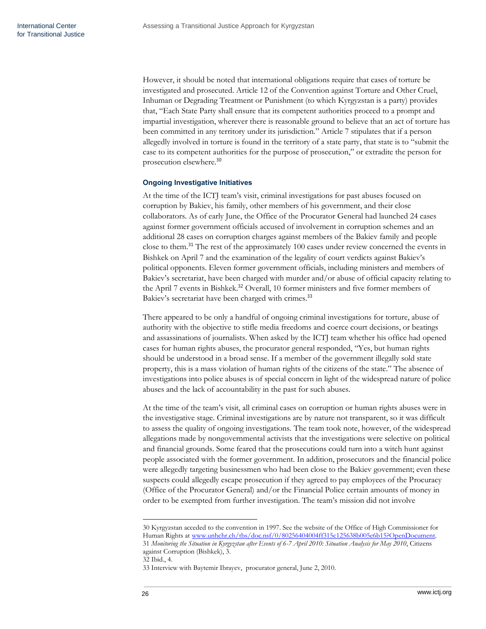However, it should be noted that international obligations require that cases of torture be investigated and prosecuted. Article 12 of the Convention against Torture and Other Cruel, Inhuman or Degrading Treatment or Punishment (to which Kyrgyzstan is a party) provides that, "Each State Party shall ensure that its competent authorities proceed to a prompt and impartial investigation, wherever there is reasonable ground to believe that an act of torture has been committed in any territory under its jurisdiction." Article 7 stipulates that if a person allegedly involved in torture is found in the territory of a state party, that state is to "submit the case to its competent authorities for the purpose of prosecution," or extradite the person for prosecution elsewhere.<sup>30</sup>

# <span id="page-27-0"></span>**Ongoing Investigative Initiatives**

At the time of the ICTJ team's visit, criminal investigations for past abuses focused on corruption by Bakiev, his family, other members of his government, and their close collaborators. As of early June, the Office of the Procurator General had launched 24 cases against former government officials accused of involvement in corruption schemes and an additional 28 cases on corruption charges against members of the Bakiev family and people close to them.<sup>31</sup> The rest of the approximately 100 cases under review concerned the events in Bishkek on April 7 and the examination of the legality of court verdicts against Bakiev's political opponents. Eleven former government officials, including ministers and members of Bakiev's secretariat, have been charged with murder and/or abuse of official capacity relating to the April 7 events in Bishkek.<sup>32</sup> Overall, 10 former ministers and five former members of Bakiev's secretariat have been charged with crimes.<sup>33</sup>

There appeared to be only a handful of ongoing criminal investigations for torture, abuse of authority with the objective to stifle media freedoms and coerce court decisions, or beatings and assassinations of journalists. When asked by the ICTJ team whether his office had opened cases for human rights abuses, the procurator general responded, "Yes, but human rights should be understood in a broad sense. If a member of the government illegally sold state property, this is a mass violation of human rights of the citizens of the state.‖ The absence of investigations into police abuses is of special concern in light of the widespread nature of police abuses and the lack of accountability in the past for such abuses.

At the time of the team's visit, all criminal cases on corruption or human rights abuses were in the investigative stage. Criminal investigations are by nature not transparent, so it was difficult to assess the quality of ongoing investigations. The team took note, however, of the widespread allegations made by nongovernmental activists that the investigations were selective on political and financial grounds. Some feared that the prosecutions could turn into a witch hunt against people associated with the former government. In addition, prosecutors and the financial police were allegedly targeting businessmen who had been close to the Bakiev government; even these suspects could allegedly escape prosecution if they agreed to pay employees of the Procuracy (Office of the Procurator General) and/or the Financial Police certain amounts of money in order to be exempted from further investigation. The team's mission did not involve

32 Ibid., 4.

 $\overline{a}$ 30 Kyrgyzstan acceded to the convention in 1997. See the website of the Office of High Commissioner for Human Rights a[t www.unhchr.ch/tbs/doc.nsf/0/80256404004ff315c125638b005e6b15?OpenDocument.](http://www.unhchr.ch/tbs/doc.nsf/0/80256404004ff315c125638b005e6b15?OpenDocument) 31 *Monitoring the Situation in Kyrgyzstan after Events of 6-7 April 2010: Situation Analysis for May 2010*, Citizens against Corruption (Bishkek), 3.

<sup>33</sup> Interview with Baytemir Ibrayev, procurator general, June 2, 2010.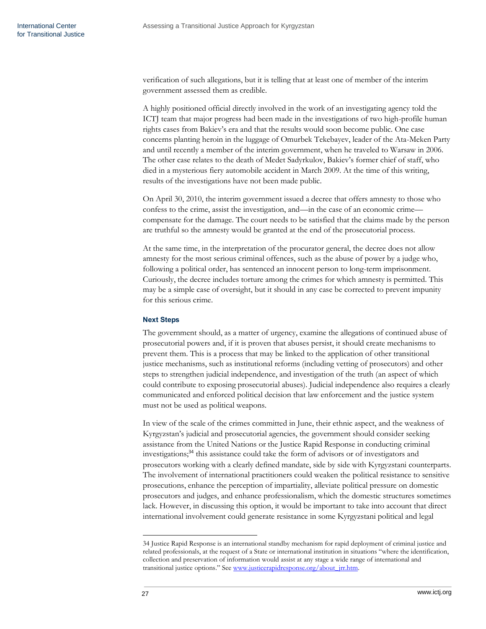verification of such allegations, but it is telling that at least one of member of the interim government assessed them as credible.

A highly positioned official directly involved in the work of an investigating agency told the ICTJ team that major progress had been made in the investigations of two high-profile human rights cases from Bakiev's era and that the results would soon become public. One case concerns planting heroin in the luggage of Omurbek Tekebayev, leader of the Ata-Meken Party and until recently a member of the interim government, when he traveled to Warsaw in 2006. The other case relates to the death of Medet Sadyrkulov, Bakiev's former chief of staff, who died in a mysterious fiery automobile accident in March 2009. At the time of this writing, results of the investigations have not been made public.

On April 30, 2010, the interim government issued a decree that offers amnesty to those who confess to the crime, assist the investigation, and—in the case of an economic crime compensate for the damage. The court needs to be satisfied that the claims made by the person are truthful so the amnesty would be granted at the end of the prosecutorial process.

At the same time, in the interpretation of the procurator general, the decree does not allow amnesty for the most serious criminal offences, such as the abuse of power by a judge who, following a political order, has sentenced an innocent person to long-term imprisonment. Curiously, the decree includes torture among the crimes for which amnesty is permitted. This may be a simple case of oversight, but it should in any case be corrected to prevent impunity for this serious crime.

# <span id="page-28-0"></span>**Next Steps**

The government should, as a matter of urgency, examine the allegations of continued abuse of prosecutorial powers and, if it is proven that abuses persist, it should create mechanisms to prevent them. This is a process that may be linked to the application of other transitional justice mechanisms, such as institutional reforms (including vetting of prosecutors) and other steps to strengthen judicial independence, and investigation of the truth (an aspect of which could contribute to exposing prosecutorial abuses). Judicial independence also requires a clearly communicated and enforced political decision that law enforcement and the justice system must not be used as political weapons.

In view of the scale of the crimes committed in June, their ethnic aspect, and the weakness of Kyrgyzstan's judicial and prosecutorial agencies, the government should consider seeking assistance from the United Nations or the Justice Rapid Response in conducting criminal investigations;<sup>34</sup> this assistance could take the form of advisors or of investigators and prosecutors working with a clearly defined mandate, side by side with Kyrgyzstani counterparts. The involvement of international practitioners could weaken the political resistance to sensitive prosecutions, enhance the perception of impartiality, alleviate political pressure on domestic prosecutors and judges, and enhance professionalism, which the domestic structures sometimes lack. However, in discussing this option, it would be important to take into account that direct international involvement could generate resistance in some Kyrgyzstani political and legal

<sup>34</sup> Justice Rapid Response is an international standby mechanism for rapid deployment of criminal justice and related professionals, at the request of a State or international institution in situations "where the identification, collection and preservation of information would assist at any stage a wide range of international and transitional justice options." See [www.justicerapidresponse.org/about\\_jrr.htm.](http://www.justicerapidresponse.org/about_jrr.htm)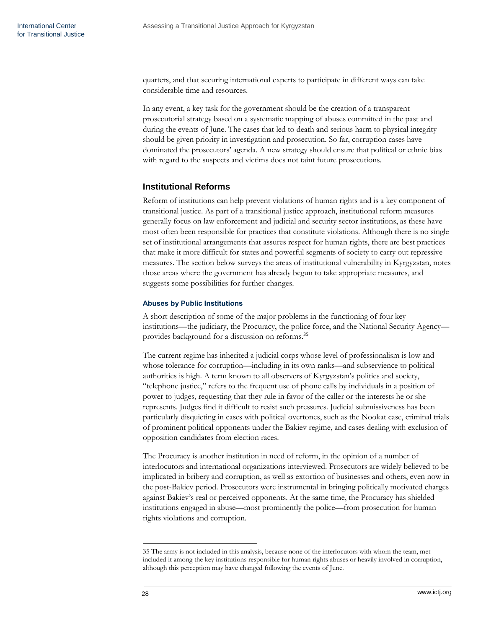quarters, and that securing international experts to participate in different ways can take considerable time and resources.

In any event, a key task for the government should be the creation of a transparent prosecutorial strategy based on a systematic mapping of abuses committed in the past and during the events of June. The cases that led to death and serious harm to physical integrity should be given priority in investigation and prosecution. So far, corruption cases have dominated the prosecutors' agenda. A new strategy should ensure that political or ethnic bias with regard to the suspects and victims does not taint future prosecutions.

# <span id="page-29-0"></span>**Institutional Reforms**

Reform of institutions can help prevent violations of human rights and is a key component of transitional justice. As part of a transitional justice approach, institutional reform measures generally focus on law enforcement and judicial and security sector institutions, as these have most often been responsible for practices that constitute violations. Although there is no single set of institutional arrangements that assures respect for human rights, there are best practices that make it more difficult for states and powerful segments of society to carry out repressive measures. The section below surveys the areas of institutional vulnerability in Kyrgyzstan, notes those areas where the government has already begun to take appropriate measures, and suggests some possibilities for further changes.

### <span id="page-29-1"></span>**Abuses by Public Institutions**

A short description of some of the major problems in the functioning of four key institutions—the judiciary, the Procuracy, the police force, and the National Security Agency provides background for a discussion on reforms.<sup>35</sup>

The current regime has inherited a judicial corps whose level of professionalism is low and whose tolerance for corruption—including in its own ranks—and subservience to political authorities is high. A term known to all observers of Kyrgyzstan's politics and society, "telephone justice," refers to the frequent use of phone calls by individuals in a position of power to judges, requesting that they rule in favor of the caller or the interests he or she represents. Judges find it difficult to resist such pressures. Judicial submissiveness has been particularly disquieting in cases with political overtones, such as the Nookat case, criminal trials of prominent political opponents under the Bakiev regime, and cases dealing with exclusion of opposition candidates from election races.

The Procuracy is another institution in need of reform, in the opinion of a number of interlocutors and international organizations interviewed. Prosecutors are widely believed to be implicated in bribery and corruption, as well as extortion of businesses and others, even now in the post-Bakiev period. Prosecutors were instrumental in bringing politically motivated charges against Bakiev's real or perceived opponents. At the same time, the Procuracy has shielded institutions engaged in abuse—most prominently the police—from prosecution for human rights violations and corruption.

<sup>35</sup> The army is not included in this analysis, because none of the interlocutors with whom the team, met included it among the key institutions responsible for human rights abuses or heavily involved in corruption, although this perception may have changed following the events of June.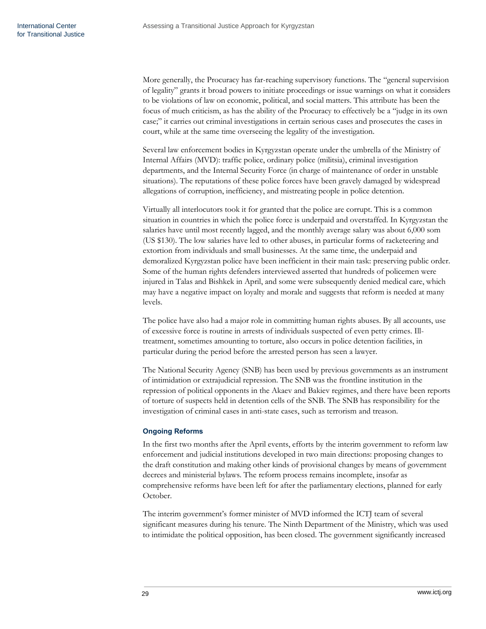More generally, the Procuracy has far-reaching supervisory functions. The "general supervision of legality‖ grants it broad powers to initiate proceedings or issue warnings on what it considers to be violations of law on economic, political, and social matters. This attribute has been the focus of much criticism, as has the ability of the Procuracy to effectively be a "judge in its own case;‖ it carries out criminal investigations in certain serious cases and prosecutes the cases in court, while at the same time overseeing the legality of the investigation.

Several law enforcement bodies in Kyrgyzstan operate under the umbrella of the Ministry of Internal Affairs (MVD): traffic police, ordinary police (militsia), criminal investigation departments, and the Internal Security Force (in charge of maintenance of order in unstable situations). The reputations of these police forces have been gravely damaged by widespread allegations of corruption, inefficiency, and mistreating people in police detention.

Virtually all interlocutors took it for granted that the police are corrupt. This is a common situation in countries in which the police force is underpaid and overstaffed. In Kyrgyzstan the salaries have until most recently lagged, and the monthly average salary was about 6,000 som (US \$130). The low salaries have led to other abuses, in particular forms of racketeering and extortion from individuals and small businesses. At the same time, the underpaid and demoralized Kyrgyzstan police have been inefficient in their main task: preserving public order. Some of the human rights defenders interviewed asserted that hundreds of policemen were injured in Talas and Bishkek in April, and some were subsequently denied medical care, which may have a negative impact on loyalty and morale and suggests that reform is needed at many levels.

The police have also had a major role in committing human rights abuses. By all accounts, use of excessive force is routine in arrests of individuals suspected of even petty crimes. Illtreatment, sometimes amounting to torture, also occurs in police detention facilities, in particular during the period before the arrested person has seen a lawyer.

The National Security Agency (SNB) has been used by previous governments as an instrument of intimidation or extrajudicial repression. The SNB was the frontline institution in the repression of political opponents in the Akaev and Bakiev regimes, and there have been reports of torture of suspects held in detention cells of the SNB. The SNB has responsibility for the investigation of criminal cases in anti-state cases, such as terrorism and treason.

# <span id="page-30-0"></span>**Ongoing Reforms**

In the first two months after the April events, efforts by the interim government to reform law enforcement and judicial institutions developed in two main directions: proposing changes to the draft constitution and making other kinds of provisional changes by means of government decrees and ministerial bylaws. The reform process remains incomplete, insofar as comprehensive reforms have been left for after the parliamentary elections, planned for early October.

The interim government's former minister of MVD informed the ICTJ team of several significant measures during his tenure. The Ninth Department of the Ministry, which was used to intimidate the political opposition, has been closed. The government significantly increased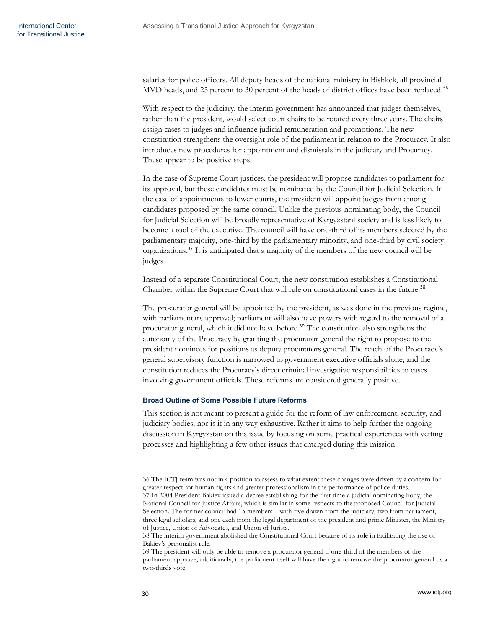salaries for police officers. All deputy heads of the national ministry in Bishkek, all provincial MVD heads, and 25 percent to 30 percent of the heads of district offices have been replaced.<sup>36</sup>

With respect to the judiciary, the interim government has announced that judges themselves, rather than the president, would select court chairs to be rotated every three years. The chairs assign cases to judges and influence judicial remuneration and promotions. The new constitution strengthens the oversight role of the parliament in relation to the Procuracy. It also introduces new procedures for appointment and dismissals in the judiciary and Procuracy. These appear to be positive steps.

In the case of Supreme Court justices, the president will propose candidates to parliament for its approval, but these candidates must be nominated by the Council for Judicial Selection. In the case of appointments to lower courts, the president will appoint judges from among candidates proposed by the same council. Unlike the previous nominating body, the Council for Judicial Selection will be broadly representative of Kyrgyzstani society and is less likely to become a tool of the executive. The council will have one-third of its members selected by the parliamentary majority, one-third by the parliamentary minority, and one-third by civil society organizations.<sup>37</sup> It is anticipated that a majority of the members of the new council will be judges.

Instead of a separate Constitutional Court, the new constitution establishes a Constitutional Chamber within the Supreme Court that will rule on constitutional cases in the future.<sup>38</sup>

The procurator general will be appointed by the president, as was done in the previous regime, with parliamentary approval; parliament will also have powers with regard to the removal of a procurator general, which it did not have before.<sup>39</sup> The constitution also strengthens the autonomy of the Procuracy by granting the procurator general the right to propose to the president nominees for positions as deputy procurators general. The reach of the Procuracy's general supervisory function is narrowed to government executive officials alone; and the constitution reduces the Procuracy's direct criminal investigative responsibilities to cases involving government officials. These reforms are considered generally positive.

# <span id="page-31-0"></span>**Broad Outline of Some Possible Future Reforms**

This section is not meant to present a guide for the reform of law enforcement, security, and judiciary bodies, nor is it in any way exhaustive. Rather it aims to help further the ongoing discussion in Kyrgyzstan on this issue by focusing on some practical experiences with vetting processes and highlighting a few other issues that emerged during this mission.

37 In 2004 President Bakiev issued a decree establishing for the first time a judicial nominating body, the National Council for Justice Affairs, which is similar in some respects to the proposed Council for Judicial Selection. The former council had 15 members—with five drawn from the judiciary, two from parliament, three legal scholars, and one each from the legal department of the president and prime Minister, the Ministry of Justice, Union of Advocates, and Union of Jurists.

<sup>36</sup> The ICTJ team was not in a position to assess to what extent these changes were driven by a concern for greater respect for human rights and greater professionalism in the performance of police duties.

<sup>38</sup> The interim government abolished the Constitutional Court because of its role in facilitating the rise of Bakiev's personalist rule.

<sup>39</sup> The president will only be able to remove a procurator general if one-third of the members of the parliament approve; additionally, the parliament itself will have the right to remove the procurator general by a two-thirds vote.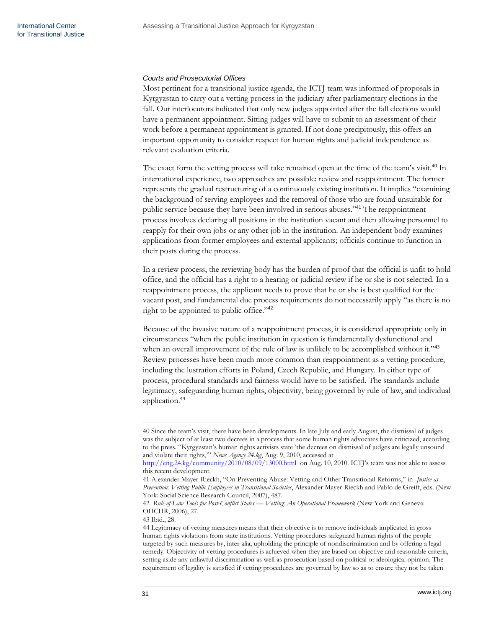# *Courts and Prosecutorial Offices*

Most pertinent for a transitional justice agenda, the ICTJ team was informed of proposals in Kyrgyzstan to carry out a vetting process in the judiciary after parliamentary elections in the fall. Our interlocutors indicated that only new judges appointed after the fall elections would have a permanent appointment. Sitting judges will have to submit to an assessment of their work before a permanent appointment is granted. If not done precipitously, this offers an important opportunity to consider respect for human rights and judicial independence as relevant evaluation criteria.

The exact form the vetting process will take remained open at the time of the team's visit.<sup>40</sup> In international experience, two approaches are possible: review and reappointment. The former represents the gradual restructuring of a continuously existing institution. It implies "examining the background of serving employees and the removal of those who are found unsuitable for public service because they have been involved in serious abuses."<sup>41</sup> The reappointment process involves declaring all positions in the institution vacant and then allowing personnel to reapply for their own jobs or any other job in the institution. An independent body examines applications from former employees and external applicants; officials continue to function in their posts during the process.

In a review process, the reviewing body has the burden of proof that the official is unfit to hold office, and the official has a right to a hearing or judicial review if he or she is not selected. In a reappointment process, the applicant needs to prove that he or she is best qualified for the vacant post, and fundamental due process requirements do not necessarily apply "as there is no right to be appointed to public office."<sup>42</sup>

Because of the invasive nature of a reappointment process, it is considered appropriate only in circumstances ―when the public institution in question is fundamentally dysfunctional and when an overall improvement of the rule of law is unlikely to be accomplished without it."43 Review processes have been much more common than reappointment as a vetting procedure, including the lustration efforts in Poland, Czech Republic, and Hungary. In either type of process, procedural standards and fairness would have to be satisfied. The standards include legitimacy, safeguarding human rights, objectivity, being governed by rule of law, and individual application.<sup>44</sup>

<sup>40</sup> Since the team's visit, there have been developments. In late July and early August, the dismissal of judges was the subject of at least two decrees in a process that some human rights advocates have criticized, according to the press. "Kyrgyzstan's human rights activists state 'the decrees on dismissal of judges are legally unsound and violate their rights," *News Agency 24.kg*, Aug. 9, 2010, accessed at

[http://eng.24.kg/community/2010/08/09/13000.html](http://eng.24.kg/community/2010/08/09/13000.html%20August%2010) on Aug. 10, 2010. ICTJ's team was not able to assess this recent development.

<sup>41</sup> Alexander Mayer-Rieckh, "On Preventing Abuse: Vetting and Other Transitional Reforms," in *Justice as Prevention: Vetting Public Employees in Transitional Societies*, Alexander Mayer-Rieckh and Pablo de Greiff, eds. (New York: Social Science Research Council, 2007), 487.

<sup>42</sup> *Rule-of-Law Tools for Post-Conflict States — Vetting: An Operational Framework* (New York and Geneva: OHCHR, 2006), 27.

<sup>43</sup> Ibid., 28.

<sup>44</sup> Legitimacy of vetting measures means that their objective is to remove individuals implicated in gross human rights violations from state institutions. Vetting procedures safeguard human rights of the people targeted by such measures by, inter alia, upholding the principle of nondiscrimination and by offering a legal remedy. Objectivity of vetting procedures is achieved when they are based on objective and reasonable criteria, setting aside any unlawful discrimination as well as prosecution based on political or ideological opinion. The requirement of legality is satisfied if vetting procedures are governed by law so as to ensure they not be taken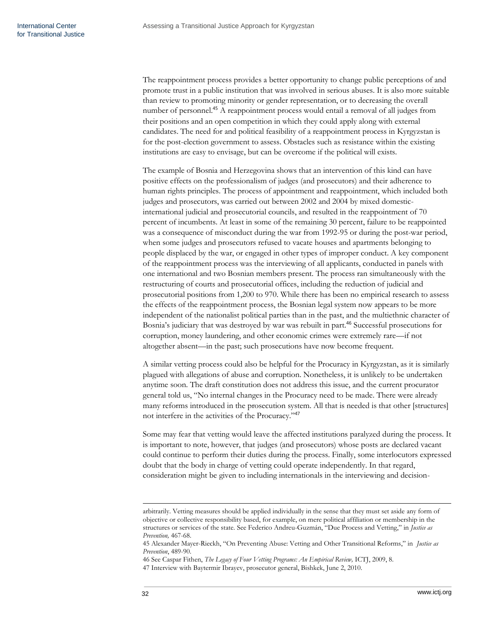The reappointment process provides a better opportunity to change public perceptions of and promote trust in a public institution that was involved in serious abuses. It is also more suitable than review to promoting minority or gender representation, or to decreasing the overall number of personnel.<sup>45</sup> A reappointment process would entail a removal of all judges from their positions and an open competition in which they could apply along with external candidates. The need for and political feasibility of a reappointment process in Kyrgyzstan is for the post-election government to assess. Obstacles such as resistance within the existing institutions are easy to envisage, but can be overcome if the political will exists.

The example of Bosnia and Herzegovina shows that an intervention of this kind can have positive effects on the professionalism of judges (and prosecutors) and their adherence to human rights principles. The process of appointment and reappointment, which included both judges and prosecutors, was carried out between 2002 and 2004 by mixed domesticinternational judicial and prosecutorial councils, and resulted in the reappointment of 70 percent of incumbents. At least in some of the remaining 30 percent, failure to be reappointed was a consequence of misconduct during the war from 1992-95 or during the post-war period, when some judges and prosecutors refused to vacate houses and apartments belonging to people displaced by the war, or engaged in other types of improper conduct. A key component of the reappointment process was the interviewing of all applicants, conducted in panels with one international and two Bosnian members present. The process ran simultaneously with the restructuring of courts and prosecutorial offices, including the reduction of judicial and prosecutorial positions from 1,200 to 970. While there has been no empirical research to assess the effects of the reappointment process, the Bosnian legal system now appears to be more independent of the nationalist political parties than in the past, and the multiethnic character of Bosnia's judiciary that was destroyed by war was rebuilt in part.<sup>46</sup> Successful prosecutions for corruption, money laundering, and other economic crimes were extremely rare—if not altogether absent—in the past; such prosecutions have now become frequent.

A similar vetting process could also be helpful for the Procuracy in Kyrgyzstan, as it is similarly plagued with allegations of abuse and corruption. Nonetheless, it is unlikely to be undertaken anytime soon. The draft constitution does not address this issue, and the current procurator general told us, "No internal changes in the Procuracy need to be made. There were already many reforms introduced in the prosecution system. All that is needed is that other [structures] not interfere in the activities of the Procuracy."47

Some may fear that vetting would leave the affected institutions paralyzed during the process. It is important to note, however, that judges (and prosecutors) whose posts are declared vacant could continue to perform their duties during the process. Finally, some interlocutors expressed doubt that the body in charge of vetting could operate independently. In that regard, consideration might be given to including internationals in the interviewing and decision-

arbitrarily. Vetting measures should be applied individually in the sense that they must set aside any form of objective or collective responsibility based, for example, on mere political affiliation or membership in the structures or services of the state. See Federico Andreu-Guzmán, "Due Process and Vetting," in *Justice as Prevention,* 467-68.

<sup>45</sup> Alexander Mayer-Rieckh, "On Preventing Abuse: Vetting and Other Transitional Reforms," in *Justice as Prevention*, 489-90.

<sup>46</sup> See Caspar Fithen, *The Legacy of Four Vetting Programs: An Empirical Review,* ICTJ, 2009, 8.

<sup>47</sup> Interview with Baytermir Ibrayev, prosecutor general, Bishkek, June 2, 2010.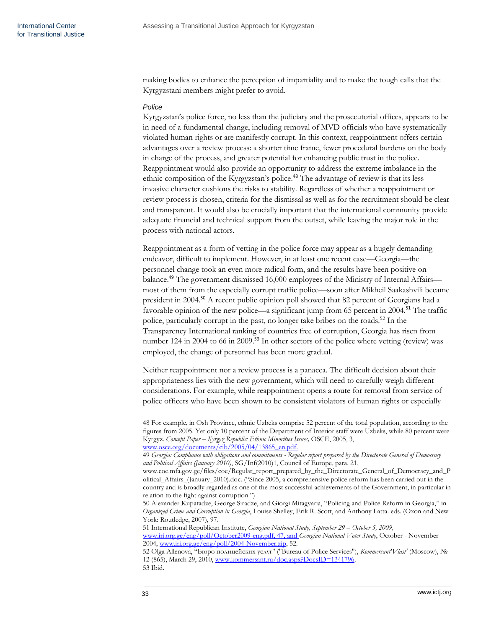making bodies to enhance the perception of impartiality and to make the tough calls that the Kyrgyzstani members might prefer to avoid.

### *Police*

Kyrgyzstan's police force, no less than the judiciary and the prosecutorial offices, appears to be in need of a fundamental change, including removal of MVD officials who have systematically violated human rights or are manifestly corrupt. In this context, reappointment offers certain advantages over a review process: a shorter time frame, fewer procedural burdens on the body in charge of the process, and greater potential for enhancing public trust in the police. Reappointment would also provide an opportunity to address the extreme imbalance in the ethnic composition of the Kyrgyzstan's police.<sup>48</sup> The advantage of review is that its less invasive character cushions the risks to stability. Regardless of whether a reappointment or review process is chosen, criteria for the dismissal as well as for the recruitment should be clear and transparent. It would also be crucially important that the international community provide adequate financial and technical support from the outset, while leaving the major role in the process with national actors.

Reappointment as a form of vetting in the police force may appear as a hugely demanding endeavor, difficult to implement. However, in at least one recent case—Georgia—the personnel change took an even more radical form, and the results have been positive on balance.<sup>49</sup> The government dismissed 16,000 employees of the Ministry of Internal Affairs most of them from the especially corrupt traffic police—soon after Mikheil Saakashvili became president in 2004.<sup>50</sup> A recent public opinion poll showed that 82 percent of Georgians had a favorable opinion of the new police—a significant jump from 65 percent in 2004.<sup>51</sup> The traffic police, particularly corrupt in the past, no longer take bribes on the roads.<sup>52</sup> In the Transparency International ranking of countries free of corruption, Georgia has risen from number 124 in 2004 to 66 in 2009.<sup>53</sup> In other sectors of the police where vetting (review) was employed, the change of personnel has been more gradual.

Neither reappointment nor a review process is a panacea. The difficult decision about their appropriateness lies with the new government, which will need to carefully weigh different considerations. For example, while reappointment opens a route for removal from service of police officers who have been shown to be consistent violators of human rights or especially

51 International Republican Institute, *Georgian National Study, September 29 – October 5, 2009,* [www.iri.org.ge/eng/poll/October2009-eng.pdf,](http://www.iri.org.ge/eng/poll/October2009-eng.pdf) 47, and *Georgian National Voter Study*, October - November 2004, [www.iri.org.ge/eng/poll/2004-November.zip,](http://www.iri.org.ge/eng/poll/2004-November.zip) 52.

 $\overline{\phantom{a}}$ 

<sup>48</sup> For example, in Osh Province, ethnic Uzbeks comprise 52 percent of the total population, according to the figures from 2005. Yet only 10 percent of the Department of Interior staff were Uzbeks, while 80 percent were Kyrgyz. *Concept Paper – Kyrgyz Republic: Ethnic Minorities Issues,* OSCE, 2005, 3, [www.osce.org/documents/cib/2005/04/13865\\_en.pdf.](http://www.osce.org/documents/cib/2005/04/13865_en.pdf)

<sup>49</sup> *Georgia: Compliance with obligations and commitments - Regular report prepared by the Directorate General of Democracy and Political Affairs (January 2010)*, SG/Inf(2010)1, Council of Europe, para. 21,

www.coe.mfa.gov.ge/files/coe/Regular\_report\_prepared\_by\_the\_Directorate\_General\_of\_Democracy\_and\_P olitical\_Affairs\_(January\_2010).doc. ("Since 2005, a comprehensive police reform has been carried out in the country and is broadly regarded as one of the most successful achievements of the Government, in particular in relation to the fight against corruption.")

<sup>50</sup> Alexander Kupatadze, George Siradze, and Giorgi Mitagvaria, "Policing and Police Reform in Georgia," in *Organized Crime and Corruption in Georgia*, Louise Shelley, Erik R. Scott, and Anthony Latta. eds. (Oxon and New York: Routledge, 2007), 97.

<sup>52</sup> Olga Allenova, "Бюро полицейских услуг" ("Bureau of Police Services"), *Kommersant'Vlast'* (Moscow), № 12 (865), March 29, 2010, [www.kommersant.ru/doc.aspx?DocsID=1341796.](http://www.kommersant.ru/doc.aspx?DocsID=1341796)

<sup>53</sup> Ibid.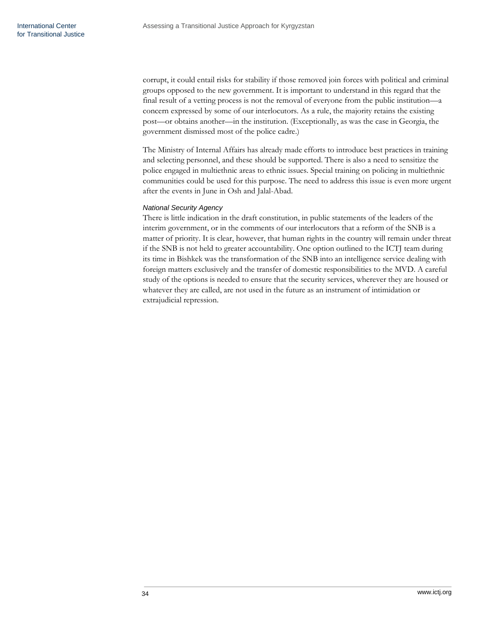corrupt, it could entail risks for stability if those removed join forces with political and criminal groups opposed to the new government. It is important to understand in this regard that the final result of a vetting process is not the removal of everyone from the public institution—a concern expressed by some of our interlocutors. As a rule, the majority retains the existing post—or obtains another—in the institution. (Exceptionally, as was the case in Georgia, the government dismissed most of the police cadre.)

The Ministry of Internal Affairs has already made efforts to introduce best practices in training and selecting personnel, and these should be supported. There is also a need to sensitize the police engaged in multiethnic areas to ethnic issues. Special training on policing in multiethnic communities could be used for this purpose. The need to address this issue is even more urgent after the events in June in Osh and Jalal-Abad.

# *National Security Agency*

There is little indication in the draft constitution, in public statements of the leaders of the interim government, or in the comments of our interlocutors that a reform of the SNB is a matter of priority. It is clear, however, that human rights in the country will remain under threat if the SNB is not held to greater accountability. One option outlined to the ICTJ team during its time in Bishkek was the transformation of the SNB into an intelligence service dealing with foreign matters exclusively and the transfer of domestic responsibilities to the MVD. A careful study of the options is needed to ensure that the security services, wherever they are housed or whatever they are called, are not used in the future as an instrument of intimidation or extrajudicial repression.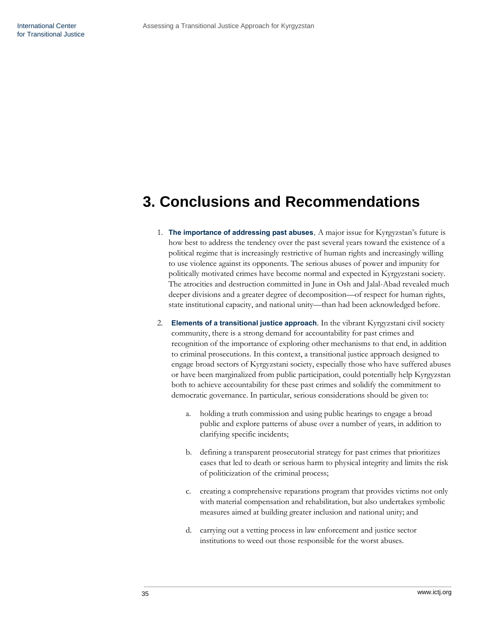# <span id="page-36-0"></span>**3. Conclusions and Recommendations**

- 1. **The importance of addressing past abuses**. A major issue for Kyrgyzstan's future is how best to address the tendency over the past several years toward the existence of a political regime that is increasingly restrictive of human rights and increasingly willing to use violence against its opponents. The serious abuses of power and impunity for politically motivated crimes have become normal and expected in Kyrgyzstani society. The atrocities and destruction committed in June in Osh and Jalal-Abad revealed much deeper divisions and a greater degree of decomposition—of respect for human rights, state institutional capacity, and national unity—than had been acknowledged before.
- 2. **Elements of a transitional justice approach**. In the vibrant Kyrgyzstani civil society community, there is a strong demand for accountability for past crimes and recognition of the importance of exploring other mechanisms to that end, in addition to criminal prosecutions. In this context, a transitional justice approach designed to engage broad sectors of Kyrgyzstani society, especially those who have suffered abuses or have been marginalized from public participation, could potentially help Kyrgyzstan both to achieve accountability for these past crimes and solidify the commitment to democratic governance. In particular, serious considerations should be given to:
	- a. holding a truth commission and using public hearings to engage a broad public and explore patterns of abuse over a number of years, in addition to clarifying specific incidents;
	- b. defining a transparent prosecutorial strategy for past crimes that prioritizes cases that led to death or serious harm to physical integrity and limits the risk of politicization of the criminal process;
	- c. creating a comprehensive reparations program that provides victims not only with material compensation and rehabilitation, but also undertakes symbolic measures aimed at building greater inclusion and national unity; and
	- d. carrying out a vetting process in law enforcement and justice sector institutions to weed out those responsible for the worst abuses.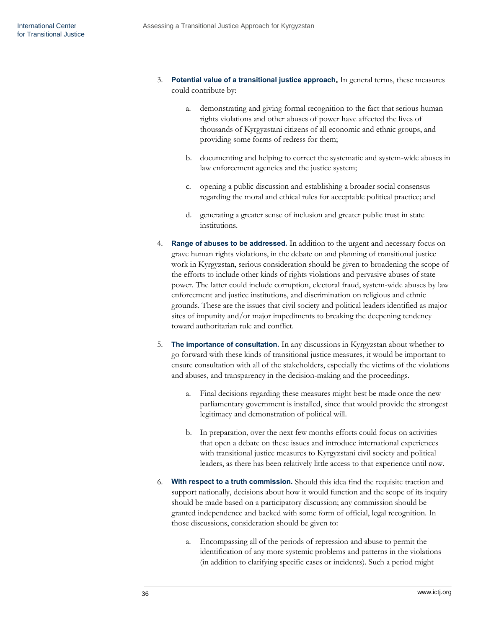- 3. **Potential value of a transitional justice approach.** In general terms, these measures could contribute by:
	- a. demonstrating and giving formal recognition to the fact that serious human rights violations and other abuses of power have affected the lives of thousands of Kyrgyzstani citizens of all economic and ethnic groups, and providing some forms of redress for them;
	- b. documenting and helping to correct the systematic and system-wide abuses in law enforcement agencies and the justice system;
	- c. opening a public discussion and establishing a broader social consensus regarding the moral and ethical rules for acceptable political practice; and
	- d. generating a greater sense of inclusion and greater public trust in state institutions.
- 4. **Range of abuses to be addressed.** In addition to the urgent and necessary focus on grave human rights violations, in the debate on and planning of transitional justice work in Kyrgyzstan, serious consideration should be given to broadening the scope of the efforts to include other kinds of rights violations and pervasive abuses of state power. The latter could include corruption, electoral fraud, system-wide abuses by law enforcement and justice institutions, and discrimination on religious and ethnic grounds. These are the issues that civil society and political leaders identified as major sites of impunity and/or major impediments to breaking the deepening tendency toward authoritarian rule and conflict.
- 5. **The importance of consultation.** In any discussions in Kyrgyzstan about whether to go forward with these kinds of transitional justice measures, it would be important to ensure consultation with all of the stakeholders, especially the victims of the violations and abuses, and transparency in the decision-making and the proceedings.
	- a. Final decisions regarding these measures might best be made once the new parliamentary government is installed, since that would provide the strongest legitimacy and demonstration of political will.
	- b. In preparation, over the next few months efforts could focus on activities that open a debate on these issues and introduce international experiences with transitional justice measures to Kyrgyzstani civil society and political leaders, as there has been relatively little access to that experience until now.
- 6. **With respect to a truth commission.** Should this idea find the requisite traction and support nationally, decisions about how it would function and the scope of its inquiry should be made based on a participatory discussion; any commission should be granted independence and backed with some form of official, legal recognition. In those discussions, consideration should be given to:
	- a. Encompassing all of the periods of repression and abuse to permit the identification of any more systemic problems and patterns in the violations (in addition to clarifying specific cases or incidents). Such a period might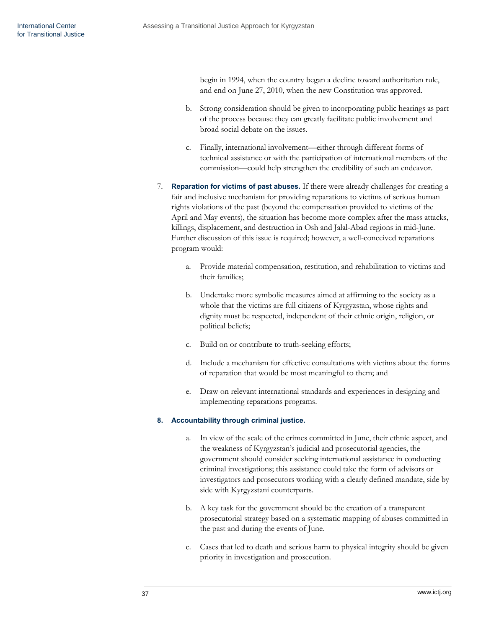begin in 1994, when the country began a decline toward authoritarian rule, and end on June 27, 2010, when the new Constitution was approved.

- b. Strong consideration should be given to incorporating public hearings as part of the process because they can greatly facilitate public involvement and broad social debate on the issues.
- c. Finally, international involvement—either through different forms of technical assistance or with the participation of international members of the commission—could help strengthen the credibility of such an endeavor.
- 7. **Reparation for victims of past abuses.** If there were already challenges for creating a fair and inclusive mechanism for providing reparations to victims of serious human rights violations of the past (beyond the compensation provided to victims of the April and May events), the situation has become more complex after the mass attacks, killings, displacement, and destruction in Osh and Jalal-Abad regions in mid-June. Further discussion of this issue is required; however, a well-conceived reparations program would:
	- a. Provide material compensation, restitution, and rehabilitation to victims and their families;
	- b. Undertake more symbolic measures aimed at affirming to the society as a whole that the victims are full citizens of Kyrgyzstan, whose rights and dignity must be respected, independent of their ethnic origin, religion, or political beliefs;
	- c. Build on or contribute to truth-seeking efforts;
	- d. Include a mechanism for effective consultations with victims about the forms of reparation that would be most meaningful to them; and
	- e. Draw on relevant international standards and experiences in designing and implementing reparations programs.

## **8. Accountability through criminal justice.**

- a. In view of the scale of the crimes committed in June, their ethnic aspect, and the weakness of Kyrgyzstan's judicial and prosecutorial agencies, the government should consider seeking international assistance in conducting criminal investigations; this assistance could take the form of advisors or investigators and prosecutors working with a clearly defined mandate, side by side with Kyrgyzstani counterparts.
- b. A key task for the government should be the creation of a transparent prosecutorial strategy based on a systematic mapping of abuses committed in the past and during the events of June.
- c. Cases that led to death and serious harm to physical integrity should be given priority in investigation and prosecution.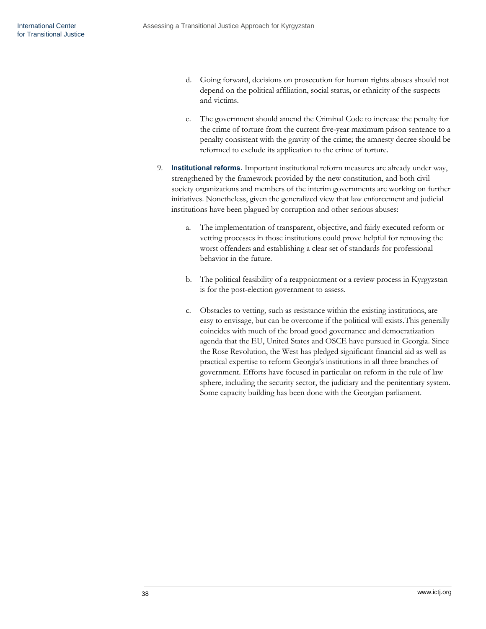- d. Going forward, decisions on prosecution for human rights abuses should not depend on the political affiliation, social status, or ethnicity of the suspects and victims.
- e. The government should amend the Criminal Code to increase the penalty for the crime of torture from the current five-year maximum prison sentence to a penalty consistent with the gravity of the crime; the amnesty decree should be reformed to exclude its application to the crime of torture.
- 9. **Institutional reforms.** Important institutional reform measures are already under way, strengthened by the framework provided by the new constitution, and both civil society organizations and members of the interim governments are working on further initiatives. Nonetheless, given the generalized view that law enforcement and judicial institutions have been plagued by corruption and other serious abuses:
	- a. The implementation of transparent, objective, and fairly executed reform or vetting processes in those institutions could prove helpful for removing the worst offenders and establishing a clear set of standards for professional behavior in the future.
	- b. The political feasibility of a reappointment or a review process in Kyrgyzstan is for the post-election government to assess.
	- c. Obstacles to vetting, such as resistance within the existing institutions, are easy to envisage, but can be overcome if the political will exists.This generally coincides with much of the broad good governance and democratization agenda that the EU, United States and OSCE have pursued in Georgia. Since the Rose Revolution, the West has pledged significant financial aid as well as practical expertise to reform Georgia's institutions in all three branches of government. Efforts have focused in particular on reform in the rule of law sphere, including the security sector, the judiciary and the penitentiary system. Some capacity building has been done with the Georgian parliament.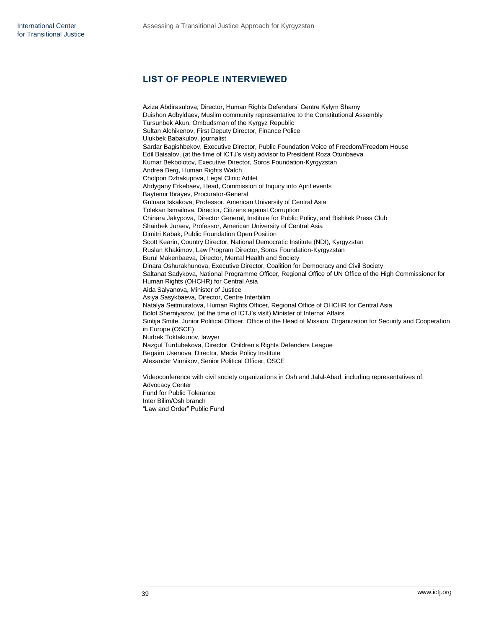# **LIST OF PEOPLE INTERVIEWED**

Aziza Abdirasulova, Director, Human Rights Defenders' Centre Kylym Shamy Duishon Adbyldaev, Muslim community representative to the Constitutional Assembly Tursunbek Akun, Ombudsman of the Kyrgyz Republic Sultan Alchikenov, First Deputy Director, Finance Police Ulukbek Babakulov, journalist Sardar Bagishbekov, Executive Director, Public Foundation Voice of Freedom/Freedom House Edil Baisalov, (at the time of ICTJ's visit) advisor to President Roza Otunbaeva Kumar Bekbolotov, Executive Director, Soros Foundation-Kyrgyzstan Andrea Berg, Human Rights Watch Cholpon Dzhakupova, Legal Clinic Adilet Abdygany Erkebaev, Head, Commission of Inquiry into April events Baytemir Ibrayev, Procurator-General Gulnara Iskakova, Professor, American University of Central Asia Tolekan Ismailova, Director, Citizens against Corruption Chinara Jakypova, Director General, Institute for Public Policy, and Bishkek Press Club Shairbek Juraev, Professor, American University of Central Asia Dimitri Kabak, Public Foundation Open Position Scott Kearin, Country Director, National Democratic Institute (NDI), Kyrgyzstan Ruslan Khakimov, Law Program Director, Soros Foundation-Kyrgyzstan Burul Makenbaeva, Director, Mental Health and Society Dinara Oshurakhunova, Executive Director, Coalition for Democracy and Civil Society Saltanat Sadykova, National Programme Officer, Regional Office of UN Office of the High Commissioner for Human Rights (OHCHR) for Central Asia Aida Salyanova, Minister of Justice Asiya Sasykbaeva, Director, Centre Interbilim Natalya Seitmuratova, Human Rights Officer, Regional Office of OHCHR for Central Asia Bolot Sherniyazov, (at the time of ICTJ's visit) Minister of Internal Affairs Sintija Smite, Junior Political Officer, Office of the Head of Mission, Organization for Security and Cooperation in Europe (OSCE) Nurbek Toktakunov, lawyer Nazgul Turdubekova, Director, Children's Rights Defenders League Begaim Usenova, Director, Media Policy Institute Alexander Vinnikov, Senior Political Officer, OSCE Videoconference with civil society organizations in Osh and Jalal-Abad, including representatives of: Advocacy Center Fund for Public Tolerance Inter Bilim/Osh branch

"Law and Order" Public Fund